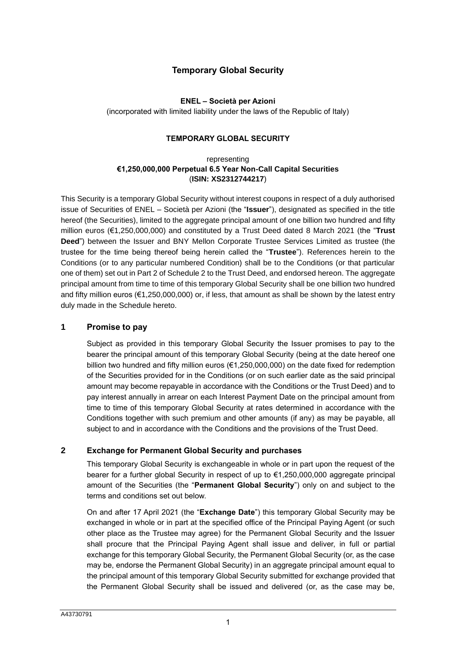# **Temporary Global Security**

## **ENEL – Società per Azioni**

(incorporated with limited liability under the laws of the Republic of Italy)

## **TEMPORARY GLOBAL SECURITY**

## representing **€1,250,000,000 Perpetual 6.5 Year Non-Call Capital Securities** (**ISIN: XS2312744217**)

This Security is a temporary Global Security without interest coupons in respect of a duly authorised issue of Securities of ENEL – Società per Azioni (the "**Issuer**"), designated as specified in the title hereof (the Securities), limited to the aggregate principal amount of one billion two hundred and fifty million euros (€1,250,000,000) and constituted by a Trust Deed dated 8 March 2021 (the "**Trust Deed**") between the Issuer and BNY Mellon Corporate Trustee Services Limited as trustee (the trustee for the time being thereof being herein called the "**Trustee**"). References herein to the Conditions (or to any particular numbered Condition) shall be to the Conditions (or that particular one of them) set out in Part 2 of Schedule 2 to the Trust Deed, and endorsed hereon. The aggregate principal amount from time to time of this temporary Global Security shall be one billion two hundred and fifty million euros ( $\epsilon$ 1,250,000,000) or, if less, that amount as shall be shown by the latest entry duly made in the Schedule hereto.

# **1 Promise to pay**

Subject as provided in this temporary Global Security the Issuer promises to pay to the bearer the principal amount of this temporary Global Security (being at the date hereof one billion two hundred and fifty million euros (€1,250,000,000) on the date fixed for redemption of the Securities provided for in the Conditions (or on such earlier date as the said principal amount may become repayable in accordance with the Conditions or the Trust Deed) and to pay interest annually in arrear on each Interest Payment Date on the principal amount from time to time of this temporary Global Security at rates determined in accordance with the Conditions together with such premium and other amounts (if any) as may be payable, all subject to and in accordance with the Conditions and the provisions of the Trust Deed.

# **2 Exchange for Permanent Global Security and purchases**

This temporary Global Security is exchangeable in whole or in part upon the request of the bearer for a further global Security in respect of up to €1,250,000,000 aggregate principal amount of the Securities (the "**Permanent Global Security**") only on and subject to the terms and conditions set out below.

On and after 17 April 2021 (the "**Exchange Date**") this temporary Global Security may be exchanged in whole or in part at the specified office of the Principal Paying Agent (or such other place as the Trustee may agree) for the Permanent Global Security and the Issuer shall procure that the Principal Paying Agent shall issue and deliver, in full or partial exchange for this temporary Global Security, the Permanent Global Security (or, as the case may be, endorse the Permanent Global Security) in an aggregate principal amount equal to the principal amount of this temporary Global Security submitted for exchange provided that the Permanent Global Security shall be issued and delivered (or, as the case may be,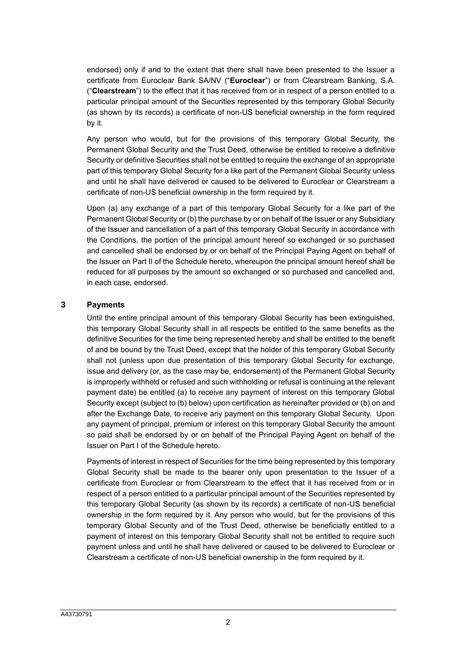endorsed) only if and to the extent that there shall have been presented to the Issuer a certificate from Euroclear Bank SA/NV ("**Euroclear**") or from Clearstream Banking, S.A. ("**Clearstream**") to the effect that it has received from or in respect of a person entitled to a particular principal amount of the Securities represented by this temporary Global Security (as shown by its records) a certificate of non-US beneficial ownership in the form required by it.

Any person who would, but for the provisions of this temporary Global Security, the Permanent Global Security and the Trust Deed, otherwise be entitled to receive a definitive Security or definitive Securities shall not be entitled to require the exchange of an appropriate part of this temporary Global Security for a like part of the Permanent Global Security unless and until he shall have delivered or caused to be delivered to Euroclear or Clearstream a certificate of non-US beneficial ownership in the form required by it.

Upon (a) any exchange of a part of this temporary Global Security for a like part of the Permanent Global Security or (b) the purchase by or on behalf of the Issuer or any Subsidiary of the Issuer and cancellation of a part of this temporary Global Security in accordance with the Conditions, the portion of the principal amount hereof so exchanged or so purchased and cancelled shall be endorsed by or on behalf of the Principal Paying Agent on behalf of the Issuer on [Part II](#page-7-0) of the Schedule hereto, whereupon the principal amount hereof shall be reduced for all purposes by the amount so exchanged or so purchased and cancelled and, in each case, endorsed.

# **3 Payments**

Until the entire principal amount of this temporary Global Security has been extinguished, this temporary Global Security shall in all respects be entitled to the same benefits as the definitive Securities for the time being represented hereby and shall be entitled to the benefit of and be bound by the Trust Deed, except that the holder of this temporary Global Security shall not (unless upon due presentation of this temporary Global Security for exchange, issue and delivery (or, as the case may be, endorsement) of the Permanent Global Security is improperly withheld or refused and such withholding or refusal is continuing at the relevant payment date) be entitled (a) to receive any payment of interest on this temporary Global Security except (subject to (b) below) upon certification as hereinafter provided or (b) on and after the Exchange Date, to receive any payment on this temporary Global Security. Upon any payment of principal, premium or interest on this temporary Global Security the amount so paid shall be endorsed by or on behalf of the Principal Paying Agent on behalf of the Issuer on [Part I](#page-6-0) of the Schedule hereto.

Payments of interest in respect of Securities for the time being represented by this temporary Global Security shall be made to the bearer only upon presentation to the Issuer of a certificate from Euroclear or from Clearstream to the effect that it has received from or in respect of a person entitled to a particular principal amount of the Securities represented by this temporary Global Security (as shown by its records) a certificate of non-US beneficial ownership in the form required by it. Any person who would, but for the provisions of this temporary Global Security and of the Trust Deed, otherwise be beneficially entitled to a payment of interest on this temporary Global Security shall not be entitled to require such payment unless and until he shall have delivered or caused to be delivered to Euroclear or Clearstream a certificate of non-US beneficial ownership in the form required by it.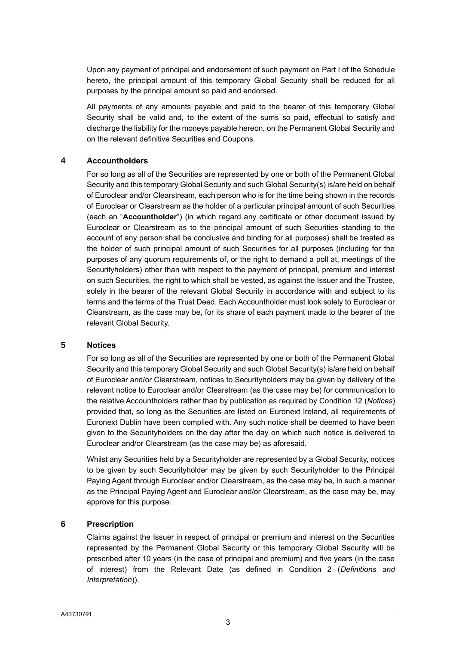Upon any payment of principal and endorsement of such payment on [Part I](#page-6-0) of the Schedule hereto, the principal amount of this temporary Global Security shall be reduced for all purposes by the principal amount so paid and endorsed.

All payments of any amounts payable and paid to the bearer of this temporary Global Security shall be valid and, to the extent of the sums so paid, effectual to satisfy and discharge the liability for the moneys payable hereon, on the Permanent Global Security and on the relevant definitive Securities and Coupons.

## **4 Accountholders**

For so long as all of the Securities are represented by one or both of the Permanent Global Security and this temporary Global Security and such Global Security(s) is/are held on behalf of Euroclear and/or Clearstream, each person who is for the time being shown in the records of Euroclear or Clearstream as the holder of a particular principal amount of such Securities (each an "**Accountholder**") (in which regard any certificate or other document issued by Euroclear or Clearstream as to the principal amount of such Securities standing to the account of any person shall be conclusive and binding for all purposes) shall be treated as the holder of such principal amount of such Securities for all purposes (including for the purposes of any quorum requirements of, or the right to demand a poll at, meetings of the Securityholders) other than with respect to the payment of principal, premium and interest on such Securities, the right to which shall be vested, as against the Issuer and the Trustee, solely in the bearer of the relevant Global Security in accordance with and subject to its terms and the terms of the Trust Deed. Each Accountholder must look solely to Euroclear or Clearstream, as the case may be, for its share of each payment made to the bearer of the relevant Global Security.

## **5 Notices**

For so long as all of the Securities are represented by one or both of the Permanent Global Security and this temporary Global Security and such Global Security(s) is/are held on behalf of Euroclear and/or Clearstream, notices to Securityholders may be given by delivery of the relevant notice to Euroclear and/or Clearstream (as the case may be) for communication to the relative Accountholders rather than by publication as required by Condition 12 (*Notices*) provided that, so long as the Securities are listed on Euronext Ireland, all requirements of Euronext Dublin have been complied with. Any such notice shall be deemed to have been given to the Securityholders on the day after the day on which such notice is delivered to Euroclear and/or Clearstream (as the case may be) as aforesaid.

Whilst any Securities held by a Securityholder are represented by a Global Security, notices to be given by such Securityholder may be given by such Securityholder to the Principal Paying Agent through Euroclear and/or Clearstream, as the case may be, in such a manner as the Principal Paying Agent and Euroclear and/or Clearstream, as the case may be, may approve for this purpose.

## **6 Prescription**

Claims against the Issuer in respect of principal or premium and interest on the Securities represented by the Permanent Global Security or this temporary Global Security will be prescribed after 10 years (in the case of principal and premium) and five years (in the case of interest) from the Relevant Date (as defined in Condition 2 (*Definitions and Interpretation*)).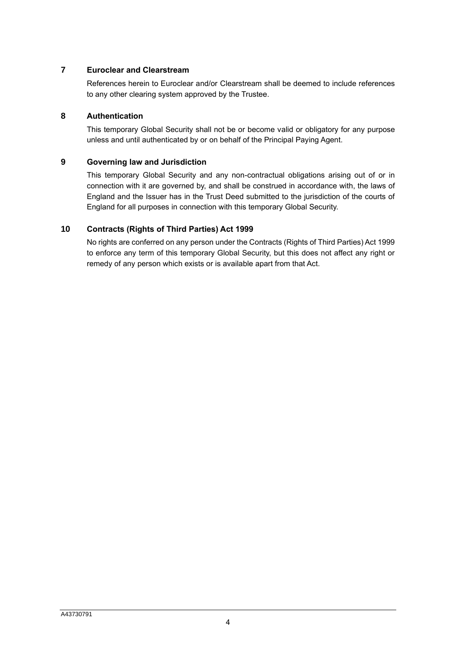# **7 Euroclear and Clearstream**

References herein to Euroclear and/or Clearstream shall be deemed to include references to any other clearing system approved by the Trustee.

# **8 Authentication**

This temporary Global Security shall not be or become valid or obligatory for any purpose unless and until authenticated by or on behalf of the Principal Paying Agent.

# **9 Governing law and Jurisdiction**

This temporary Global Security and any non-contractual obligations arising out of or in connection with it are governed by, and shall be construed in accordance with, the laws of England and the Issuer has in the Trust Deed submitted to the jurisdiction of the courts of England for all purposes in connection with this temporary Global Security.

# **10 Contracts (Rights of Third Parties) Act 1999**

No rights are conferred on any person under the Contracts (Rights of Third Parties) Act 1999 to enforce any term of this temporary Global Security, but this does not affect any right or remedy of any person which exists or is available apart from that Act.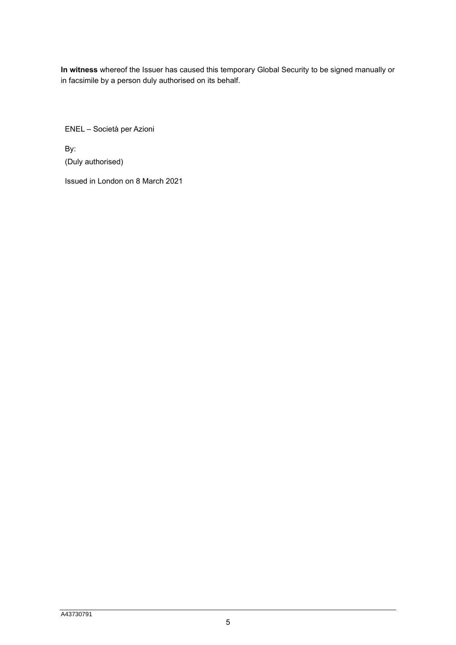**In witness** whereof the Issuer has caused this temporary Global Security to be signed manually or in facsimile by a person duly authorised on its behalf.

ENEL – Società per Azioni

By: (Duly authorised)

Issued in London on 8 March 2021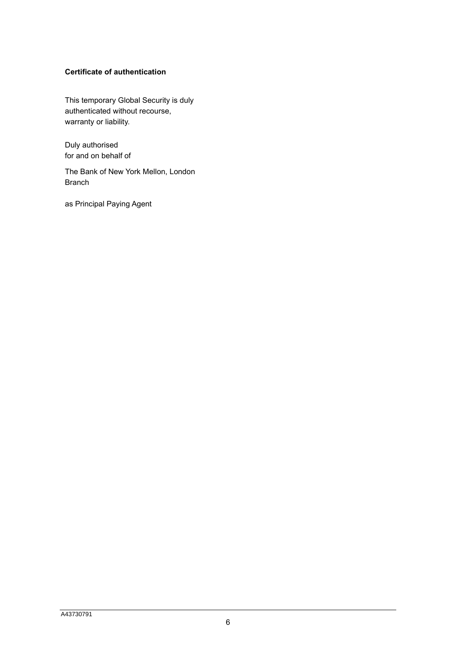# **Certificate of authentication**

This temporary Global Security is duly authenticated without recourse, warranty or liability.

Duly authorised for and on behalf of

The Bank of New York Mellon, London Branch

as Principal Paying Agent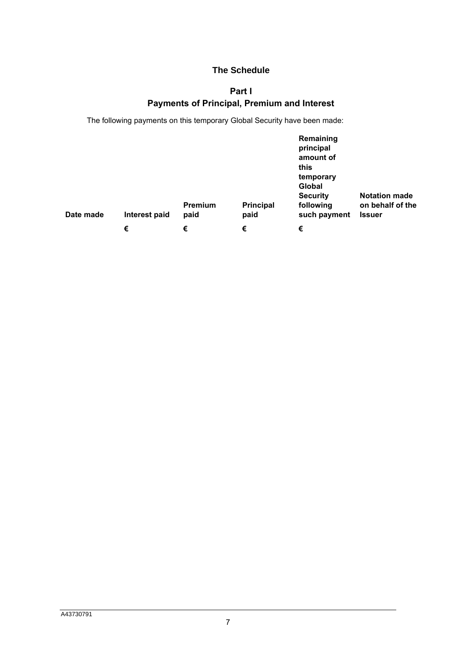# **The Schedule**

# **Part I**

# **Payments of Principal, Premium and Interest**

<span id="page-6-0"></span>The following payments on this temporary Global Security have been made:

| Date made | Interest paid | Premium<br>paid | <b>Principal</b><br>paid | Remaining<br>principal<br>amount of<br>this<br>temporary<br>Global<br><b>Security</b><br>following<br>such payment | <b>Notation made</b><br>on behalf of the<br><b>Issuer</b> |
|-----------|---------------|-----------------|--------------------------|--------------------------------------------------------------------------------------------------------------------|-----------------------------------------------------------|
|           | €             | €               | €                        | €                                                                                                                  |                                                           |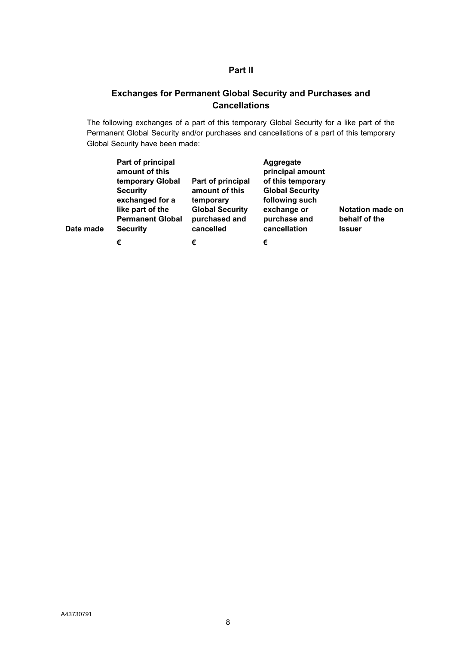# **Part II**

# <span id="page-7-0"></span>**Exchanges for Permanent Global Security and Purchases and Cancellations**

The following exchanges of a part of this temporary Global Security for a like part of the Permanent Global Security and/or purchases and cancellations of a part of this temporary Global Security have been made:

| Date made | Part of principal<br>amount of this<br>temporary Global<br><b>Security</b><br>exchanged for a<br>like part of the<br><b>Permanent Global</b><br><b>Security</b> | Part of principal<br>amount of this<br>temporary<br><b>Global Security</b><br>purchased and<br>cancelled | Aggregate<br>principal amount<br>of this temporary<br><b>Global Security</b><br>following such<br>exchange or<br>purchase and<br>cancellation | <b>Notation made on</b><br>behalf of the<br><b>Issuer</b> |
|-----------|-----------------------------------------------------------------------------------------------------------------------------------------------------------------|----------------------------------------------------------------------------------------------------------|-----------------------------------------------------------------------------------------------------------------------------------------------|-----------------------------------------------------------|
|           | €                                                                                                                                                               | €                                                                                                        | €                                                                                                                                             |                                                           |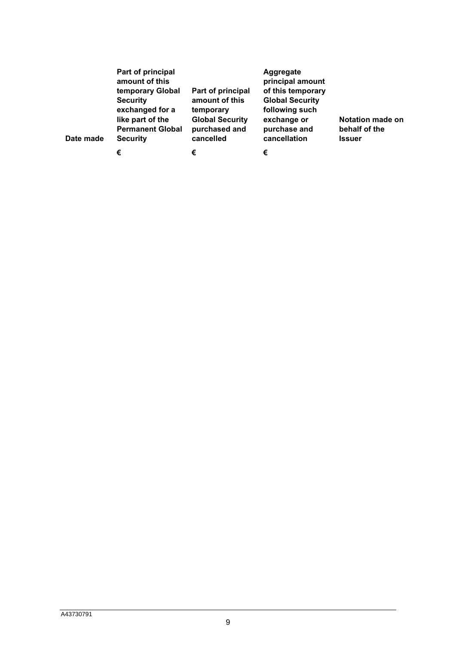| Date made | Part of principal<br>amount of this<br>temporary Global<br><b>Security</b><br>exchanged for a<br>like part of the<br><b>Permanent Global</b><br><b>Security</b> | Part of principal<br>amount of this<br>temporary<br><b>Global Security</b><br>purchased and<br>cancelled | Aggregate<br>principal amount<br>of this temporary<br><b>Global Security</b><br>following such<br>exchange or<br>purchase and<br>cancellation | Notation made on<br>behalf of the<br><b>Issuer</b> |
|-----------|-----------------------------------------------------------------------------------------------------------------------------------------------------------------|----------------------------------------------------------------------------------------------------------|-----------------------------------------------------------------------------------------------------------------------------------------------|----------------------------------------------------|
|           | €                                                                                                                                                               | €                                                                                                        | €                                                                                                                                             |                                                    |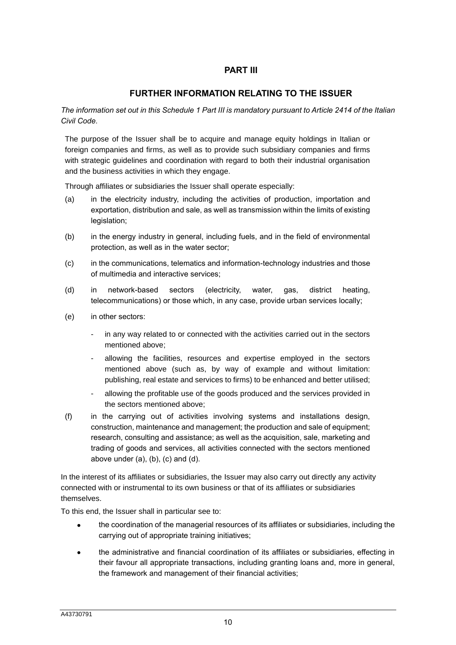# **PART III**

# **FURTHER INFORMATION RELATING TO THE ISSUER**

*The information set out in this Schedule 1 Part III is mandatory pursuant to Article 2414 of the Italian Civil Code.*

The purpose of the Issuer shall be to acquire and manage equity holdings in Italian or foreign companies and firms, as well as to provide such subsidiary companies and firms with strategic guidelines and coordination with regard to both their industrial organisation and the business activities in which they engage.

Through affiliates or subsidiaries the Issuer shall operate especially:

- (a) in the electricity industry, including the activities of production, importation and exportation, distribution and sale, as well as transmission within the limits of existing legislation;
- (b) in the energy industry in general, including fuels, and in the field of environmental protection, as well as in the water sector;
- (c) in the communications, telematics and information-technology industries and those of multimedia and interactive services;
- (d) in network-based sectors (electricity, water, gas, district heating, telecommunications) or those which, in any case, provide urban services locally;
- (e) in other sectors:
	- in any way related to or connected with the activities carried out in the sectors mentioned above;
	- allowing the facilities, resources and expertise employed in the sectors mentioned above (such as, by way of example and without limitation: publishing, real estate and services to firms) to be enhanced and better utilised;
	- allowing the profitable use of the goods produced and the services provided in the sectors mentioned above;
- (f) in the carrying out of activities involving systems and installations design, construction, maintenance and management; the production and sale of equipment; research, consulting and assistance; as well as the acquisition, sale, marketing and trading of goods and services, all activities connected with the sectors mentioned above under  $(a)$ ,  $(b)$ ,  $(c)$  and  $(d)$ .

In the interest of its affiliates or subsidiaries, the Issuer may also carry out directly any activity connected with or instrumental to its own business or that of its affiliates or subsidiaries themselves.

To this end, the Issuer shall in particular see to:

- the coordination of the managerial resources of its affiliates or subsidiaries, including the carrying out of appropriate training initiatives;
- the administrative and financial coordination of its affiliates or subsidiaries, effecting in their favour all appropriate transactions, including granting loans and, more in general, the framework and management of their financial activities;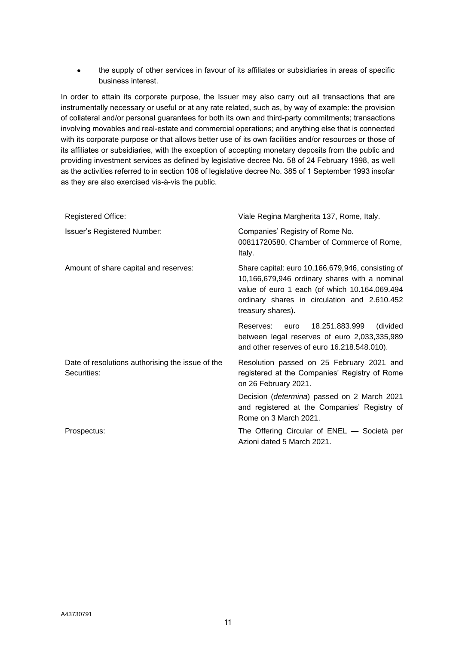• the supply of other services in favour of its affiliates or subsidiaries in areas of specific business interest.

In order to attain its corporate purpose, the Issuer may also carry out all transactions that are instrumentally necessary or useful or at any rate related, such as, by way of example: the provision of collateral and/or personal guarantees for both its own and third-party commitments; transactions involving movables and real-estate and commercial operations; and anything else that is connected with its corporate purpose or that allows better use of its own facilities and/or resources or those of its affiliates or subsidiaries, with the exception of accepting monetary deposits from the public and providing investment services as defined by legislative decree No. 58 of 24 February 1998, as well as the activities referred to in section 106 of legislative decree No. 385 of 1 September 1993 insofar as they are also exercised vis-à-vis the public.

| <b>Registered Office:</b>                                       | Viale Regina Margherita 137, Rome, Italy.                                                                                                                                                                                |  |  |
|-----------------------------------------------------------------|--------------------------------------------------------------------------------------------------------------------------------------------------------------------------------------------------------------------------|--|--|
| <b>Issuer's Registered Number:</b>                              | Companies' Registry of Rome No.<br>00811720580, Chamber of Commerce of Rome,<br>Italy.                                                                                                                                   |  |  |
| Amount of share capital and reserves:                           | Share capital: euro 10,166,679,946, consisting of<br>10,166,679,946 ordinary shares with a nominal<br>value of euro 1 each (of which 10.164.069.494<br>ordinary shares in circulation and 2.610.452<br>treasury shares). |  |  |
|                                                                 | 18.251.883.999<br>(divided<br>Reserves: euro<br>between legal reserves of euro 2,033,335,989<br>and other reserves of euro 16.218.548.010).                                                                              |  |  |
| Date of resolutions authorising the issue of the<br>Securities: | Resolution passed on 25 February 2021 and<br>registered at the Companies' Registry of Rome<br>on 26 February 2021.                                                                                                       |  |  |
|                                                                 | Decision ( <i>determina</i> ) passed on 2 March 2021<br>and registered at the Companies' Registry of<br>Rome on 3 March 2021.                                                                                            |  |  |
| Prospectus:                                                     | The Offering Circular of ENEL - Società per<br>Azioni dated 5 March 2021.                                                                                                                                                |  |  |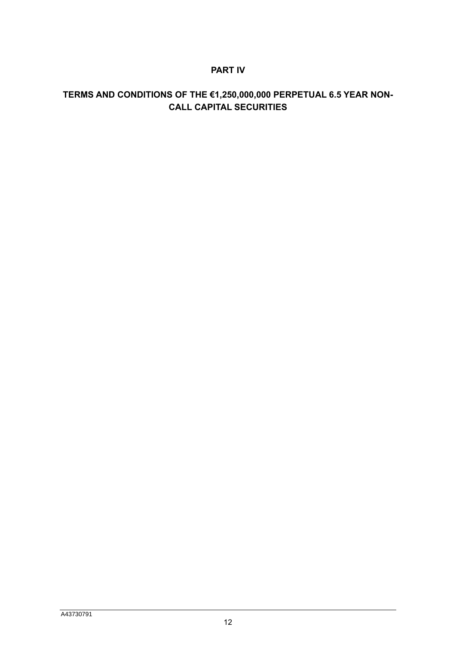# **PART IV**

# **TERMS AND CONDITIONS OF THE €1,250,000,000 PERPETUAL 6.5 YEAR NON-CALL CAPITAL SECURITIES**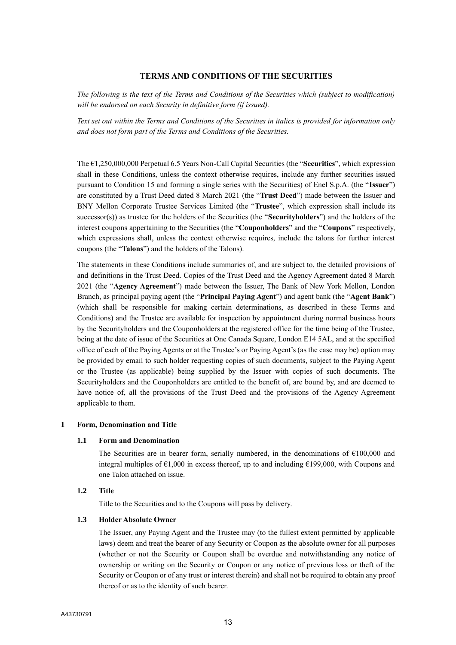## **TERMS AND CONDITIONS OF THE SECURITIES**

*The following is the text of the Terms and Conditions of the Securities which (subject to modification) will be endorsed on each Security in definitive form (if issued).* 

*Text set out within the Terms and Conditions of the Securities in italics is provided for information only and does not form part of the Terms and Conditions of the Securities.*

The €1,250,000,000 Perpetual 6.5 Years Non-Call Capital Securities (the "**Securities**", which expression shall in these Conditions, unless the context otherwise requires, include any further securities issued pursuant to Condition 15 and forming a single series with the Securities) of Enel S.p.A. (the "**Issuer**") are constituted by a Trust Deed dated 8 March 2021 (the "**Trust Deed**") made between the Issuer and BNY Mellon Corporate Trustee Services Limited (the "**Trustee**", which expression shall include its successor(s)) as trustee for the holders of the Securities (the "**Securityholders**") and the holders of the interest coupons appertaining to the Securities (the "**Couponholders**" and the "**Coupons**" respectively, which expressions shall, unless the context otherwise requires, include the talons for further interest coupons (the "**Talons**") and the holders of the Talons).

The statements in these Conditions include summaries of, and are subject to, the detailed provisions of and definitions in the Trust Deed. Copies of the Trust Deed and the Agency Agreement dated 8 March 2021 (the "**Agency Agreement**") made between the Issuer, The Bank of New York Mellon, London Branch, as principal paying agent (the "**Principal Paying Agent**") and agent bank (the "**Agent Bank**") (which shall be responsible for making certain determinations, as described in these Terms and Conditions) and the Trustee are available for inspection by appointment during normal business hours by the Securityholders and the Couponholders at the registered office for the time being of the Trustee, being at the date of issue of the Securities at One Canada Square, London E14 5AL, and at the specified office of each of the Paying Agents or at the Trustee's or Paying Agent's (as the case may be) option may be provided by email to such holder requesting copies of such documents, subject to the Paying Agent or the Trustee (as applicable) being supplied by the Issuer with copies of such documents. The Securityholders and the Couponholders are entitled to the benefit of, are bound by, and are deemed to have notice of, all the provisions of the Trust Deed and the provisions of the Agency Agreement applicable to them.

#### **1 Form, Denomination and Title**

#### **1.1 Form and Denomination**

The Securities are in bearer form, serially numbered, in the denominations of  $\epsilon$ 100,000 and integral multiples of  $\epsilon$ 1,000 in excess thereof, up to and including  $\epsilon$ 199,000, with Coupons and one Talon attached on issue.

## **1.2 Title**

Title to the Securities and to the Coupons will pass by delivery.

#### **1.3 Holder Absolute Owner**

The Issuer, any Paying Agent and the Trustee may (to the fullest extent permitted by applicable laws) deem and treat the bearer of any Security or Coupon as the absolute owner for all purposes (whether or not the Security or Coupon shall be overdue and notwithstanding any notice of ownership or writing on the Security or Coupon or any notice of previous loss or theft of the Security or Coupon or of any trust or interest therein) and shall not be required to obtain any proof thereof or as to the identity of such bearer.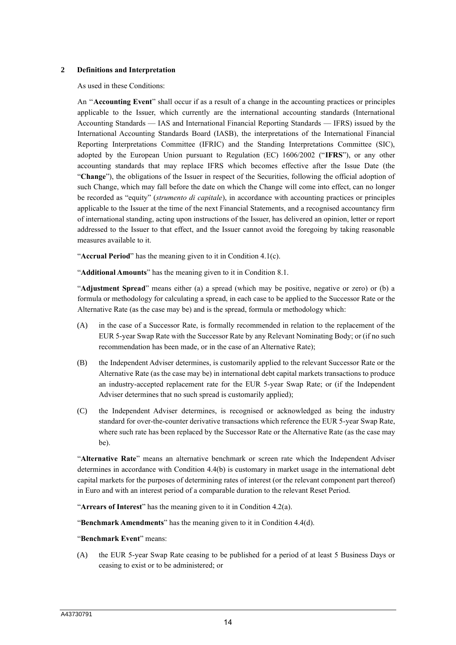#### **2 Definitions and Interpretation**

As used in these Conditions:

An ''**Accounting Event**" shall occur if as a result of a change in the accounting practices or principles applicable to the Issuer, which currently are the international accounting standards (International Accounting Standards — IAS and International Financial Reporting Standards — IFRS) issued by the International Accounting Standards Board (IASB), the interpretations of the International Financial Reporting Interpretations Committee (IFRIC) and the Standing Interpretations Committee (SIC), adopted by the European Union pursuant to Regulation (EC) 1606/2002 ("**IFRS**"), or any other accounting standards that may replace IFRS which becomes effective after the Issue Date (the "**Change**"), the obligations of the Issuer in respect of the Securities, following the official adoption of such Change, which may fall before the date on which the Change will come into effect, can no longer be recorded as "equity" (*strumento di capitale*), in accordance with accounting practices or principles applicable to the Issuer at the time of the next Financial Statements, and a recognised accountancy firm of international standing, acting upon instructions of the Issuer, has delivered an opinion, letter or report addressed to the Issuer to that effect, and the Issuer cannot avoid the foregoing by taking reasonable measures available to it.

"**Accrual Period**" has the meaning given to it in Condition 4.1(c).

"**Additional Amounts**" has the meaning given to it in Condition 8.1.

"**Adjustment Spread**" means either (a) a spread (which may be positive, negative or zero) or (b) a formula or methodology for calculating a spread, in each case to be applied to the Successor Rate or the Alternative Rate (as the case may be) and is the spread, formula or methodology which:

- (A) in the case of a Successor Rate, is formally recommended in relation to the replacement of the EUR 5-year Swap Rate with the Successor Rate by any Relevant Nominating Body; or (if no such recommendation has been made, or in the case of an Alternative Rate);
- (B) the Independent Adviser determines, is customarily applied to the relevant Successor Rate or the Alternative Rate (as the case may be) in international debt capital markets transactions to produce an industry-accepted replacement rate for the EUR 5-year Swap Rate; or (if the Independent Adviser determines that no such spread is customarily applied);
- (C) the Independent Adviser determines, is recognised or acknowledged as being the industry standard for over-the-counter derivative transactions which reference the EUR 5-year Swap Rate, where such rate has been replaced by the Successor Rate or the Alternative Rate (as the case may be).

"**Alternative Rate**" means an alternative benchmark or screen rate which the Independent Adviser determines in accordance with Condition 4.4(b) is customary in market usage in the international debt capital markets for the purposes of determining rates of interest (or the relevant component part thereof) in Euro and with an interest period of a comparable duration to the relevant Reset Period.

"**Arrears of Interest**" has the meaning given to it in Condition 4.2(a).

"**Benchmark Amendments**" has the meaning given to it in Condition 4.4(d).

#### "**Benchmark Event**" means:

(A) the EUR 5-year Swap Rate ceasing to be published for a period of at least 5 Business Days or ceasing to exist or to be administered; or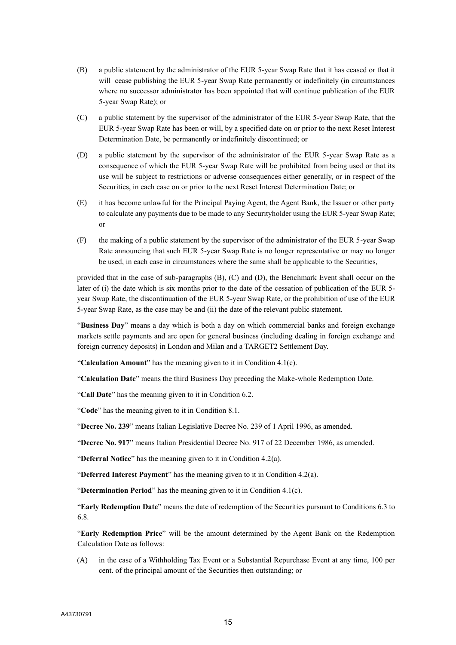- (B) a public statement by the administrator of the EUR 5-year Swap Rate that it has ceased or that it will cease publishing the EUR 5-year Swap Rate permanently or indefinitely (in circumstances where no successor administrator has been appointed that will continue publication of the EUR 5-year Swap Rate); or
- (C) a public statement by the supervisor of the administrator of the EUR 5-year Swap Rate, that the EUR 5-year Swap Rate has been or will, by a specified date on or prior to the next Reset Interest Determination Date, be permanently or indefinitely discontinued; or
- (D) a public statement by the supervisor of the administrator of the EUR 5-year Swap Rate as a consequence of which the EUR 5-year Swap Rate will be prohibited from being used or that its use will be subject to restrictions or adverse consequences either generally, or in respect of the Securities, in each case on or prior to the next Reset Interest Determination Date; or
- (E) it has become unlawful for the Principal Paying Agent, the Agent Bank, the Issuer or other party to calculate any payments due to be made to any Securityholder using the EUR 5-year Swap Rate; or
- (F) the making of a public statement by the supervisor of the administrator of the EUR 5-year Swap Rate announcing that such EUR 5-year Swap Rate is no longer representative or may no longer be used, in each case in circumstances where the same shall be applicable to the Securities,

provided that in the case of sub-paragraphs (B), (C) and (D), the Benchmark Event shall occur on the later of (i) the date which is six months prior to the date of the cessation of publication of the EUR 5 year Swap Rate, the discontinuation of the EUR 5-year Swap Rate, or the prohibition of use of the EUR 5-year Swap Rate, as the case may be and (ii) the date of the relevant public statement.

"**Business Day**" means a day which is both a day on which commercial banks and foreign exchange markets settle payments and are open for general business (including dealing in foreign exchange and foreign currency deposits) in London and Milan and a TARGET2 Settlement Day.

"**Calculation Amount**" has the meaning given to it in Condition 4.1(c).

"**Calculation Date**" means the third Business Day preceding the Make-whole Redemption Date.

"**Call Date**" has the meaning given to it in Condition 6.2.

"**Code**" has the meaning given to it in Condition 8.1.

"**Decree No. 239**" means Italian Legislative Decree No. 239 of 1 April 1996, as amended.

"**Decree No. 917**" means Italian Presidential Decree No. 917 of 22 December 1986, as amended.

"**Deferral Notice**" has the meaning given to it in Condition 4.2(a).

"**Deferred Interest Payment**" has the meaning given to it in Condition 4.2(a).

"**Determination Period**" has the meaning given to it in Condition 4.1(c).

"**Early Redemption Date**" means the date of redemption of the Securities pursuant to Conditions 6.3 to 6.8.

"**Early Redemption Price**" will be the amount determined by the Agent Bank on the Redemption Calculation Date as follows:

(A) in the case of a Withholding Tax Event or a Substantial Repurchase Event at any time, 100 per cent. of the principal amount of the Securities then outstanding; or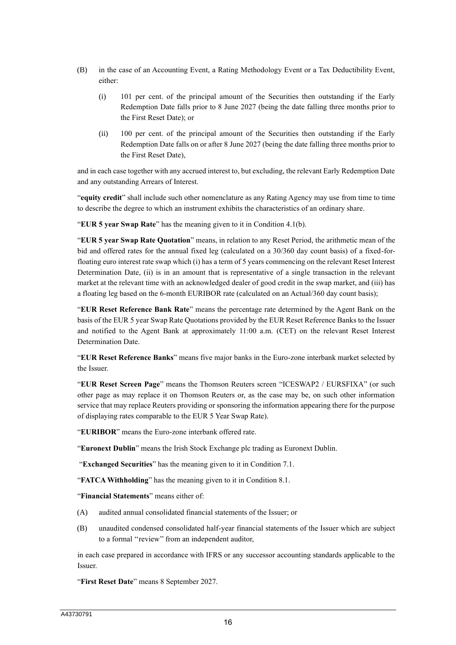- (B) in the case of an Accounting Event, a Rating Methodology Event or a Tax Deductibility Event, either:
	- (i) 101 per cent. of the principal amount of the Securities then outstanding if the Early Redemption Date falls prior to 8 June 2027 (being the date falling three months prior to the First Reset Date); or
	- (ii) 100 per cent. of the principal amount of the Securities then outstanding if the Early Redemption Date falls on or after 8 June 2027 (being the date falling three months prior to the First Reset Date),

and in each case together with any accrued interest to, but excluding, the relevant Early Redemption Date and any outstanding Arrears of Interest.

"**equity credit**" shall include such other nomenclature as any Rating Agency may use from time to time to describe the degree to which an instrument exhibits the characteristics of an ordinary share.

"**EUR 5 year Swap Rate**" has the meaning given to it in Condition 4.1(b).

"**EUR 5 year Swap Rate Quotation**" means, in relation to any Reset Period, the arithmetic mean of the bid and offered rates for the annual fixed leg (calculated on a 30/360 day count basis) of a fixed-forfloating euro interest rate swap which (i) has a term of 5 years commencing on the relevant Reset Interest Determination Date, (ii) is in an amount that is representative of a single transaction in the relevant market at the relevant time with an acknowledged dealer of good credit in the swap market, and (iii) has a floating leg based on the 6-month EURIBOR rate (calculated on an Actual/360 day count basis);

"**EUR Reset Reference Bank Rate**" means the percentage rate determined by the Agent Bank on the basis of the EUR 5 year Swap Rate Quotations provided by the EUR Reset Reference Banks to the Issuer and notified to the Agent Bank at approximately 11:00 a.m. (CET) on the relevant Reset Interest Determination Date.

"**EUR Reset Reference Banks**" means five major banks in the Euro-zone interbank market selected by the Issuer.

"**EUR Reset Screen Page**" means the Thomson Reuters screen "ICESWAP2 / EURSFIXA" (or such other page as may replace it on Thomson Reuters or, as the case may be, on such other information service that may replace Reuters providing or sponsoring the information appearing there for the purpose of displaying rates comparable to the EUR 5 Year Swap Rate).

"**EURIBOR**" means the Euro-zone interbank offered rate.

"**Euronext Dublin**" means the Irish Stock Exchange plc trading as Euronext Dublin.

"**Exchanged Securities**" has the meaning given to it in Condition 7.1.

"**FATCA Withholding**" has the meaning given to it in Condition 8.1.

"**Financial Statements**" means either of:

- (A) audited annual consolidated financial statements of the Issuer; or
- (B) unaudited condensed consolidated half-year financial statements of the Issuer which are subject to a formal ''review'' from an independent auditor,

in each case prepared in accordance with IFRS or any successor accounting standards applicable to the Issuer.

"**First Reset Date**" means 8 September 2027.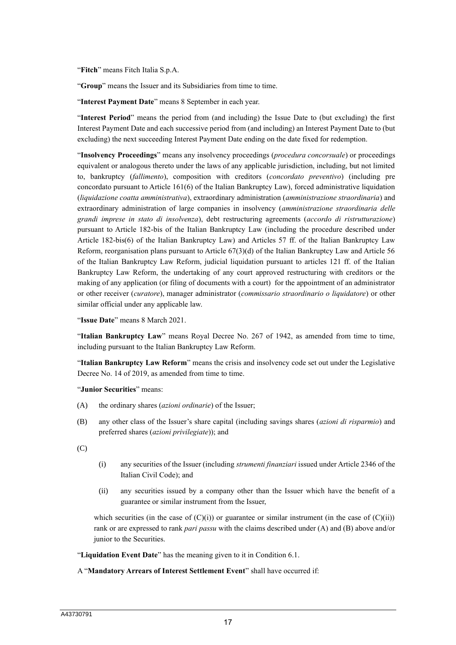"**Fitch**" means Fitch Italia S.p.A.

"**Group**" means the Issuer and its Subsidiaries from time to time.

"**Interest Payment Date**" means 8 September in each year.

"**Interest Period**" means the period from (and including) the Issue Date to (but excluding) the first Interest Payment Date and each successive period from (and including) an Interest Payment Date to (but excluding) the next succeeding Interest Payment Date ending on the date fixed for redemption.

"**Insolvency Proceedings**" means any insolvency proceedings (*procedura concorsuale*) or proceedings equivalent or analogous thereto under the laws of any applicable jurisdiction, including, but not limited to, bankruptcy (*fallimento*), composition with creditors (*concordato preventivo*) (including pre concordato pursuant to Article 161(6) of the Italian Bankruptcy Law), forced administrative liquidation (*liquidazione coatta amministrativa*), extraordinary administration (*amministrazione straordinaria*) and extraordinary administration of large companies in insolvency (*amministrazione straordinaria delle grandi imprese in stato di insolvenza*), debt restructuring agreements (*accordo di ristrutturazione*) pursuant to Article 182-bis of the Italian Bankruptcy Law (including the procedure described under Article 182-bis(6) of the Italian Bankruptcy Law) and Articles 57 ff. of the Italian Bankruptcy Law Reform, reorganisation plans pursuant to Article 67(3)(d) of the Italian Bankruptcy Law and Article 56 of the Italian Bankruptcy Law Reform, judicial liquidation pursuant to articles 121 ff. of the Italian Bankruptcy Law Reform, the undertaking of any court approved restructuring with creditors or the making of any application (or filing of documents with a court) for the appointment of an administrator or other receiver (*curatore*), manager administrator (*commissario straordinario o liquidatore*) or other similar official under any applicable law.

"**Issue Date**" means 8 March 2021.

"**Italian Bankruptcy Law**" means Royal Decree No. 267 of 1942, as amended from time to time, including pursuant to the Italian Bankruptcy Law Reform.

"**Italian Bankruptcy Law Reform**" means the crisis and insolvency code set out under the Legislative Decree No. 14 of 2019, as amended from time to time.

"**Junior Securities**" means:

- (A) the ordinary shares (*azioni ordinarie*) of the Issuer;
- (B) any other class of the Issuer's share capital (including savings shares (*azioni di risparmio*) and preferred shares (*azioni privilegiate*)); and

(C)

- (i) any securities of the Issuer (including *strumenti finanziari* issued under Article 2346 of the Italian Civil Code); and
- (ii) any securities issued by a company other than the Issuer which have the benefit of a guarantee or similar instrument from the Issuer,

which securities (in the case of  $(C)(i)$ ) or guarantee or similar instrument (in the case of  $(C)(ii)$ ) rank or are expressed to rank *pari passu* with the claims described under (A) and (B) above and/or junior to the Securities.

"**Liquidation Event Date**" has the meaning given to it in Condition 6.1.

#### A "**Mandatory Arrears of Interest Settlement Event**" shall have occurred if: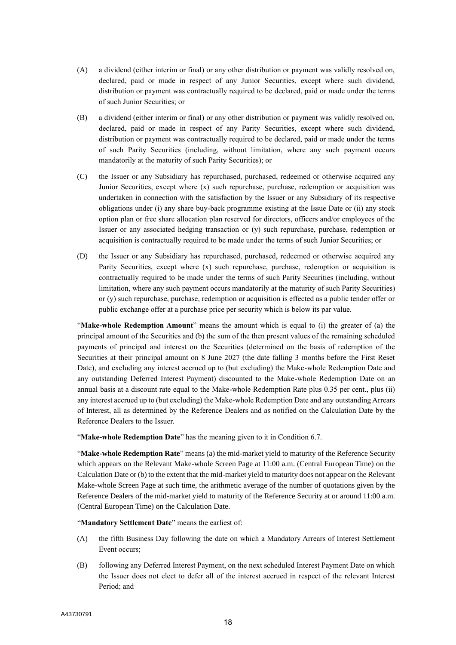- (A) a dividend (either interim or final) or any other distribution or payment was validly resolved on, declared, paid or made in respect of any Junior Securities, except where such dividend, distribution or payment was contractually required to be declared, paid or made under the terms of such Junior Securities; or
- (B) a dividend (either interim or final) or any other distribution or payment was validly resolved on, declared, paid or made in respect of any Parity Securities, except where such dividend, distribution or payment was contractually required to be declared, paid or made under the terms of such Parity Securities (including, without limitation, where any such payment occurs mandatorily at the maturity of such Parity Securities); or
- (C) the Issuer or any Subsidiary has repurchased, purchased, redeemed or otherwise acquired any Junior Securities, except where (x) such repurchase, purchase, redemption or acquisition was undertaken in connection with the satisfaction by the Issuer or any Subsidiary of its respective obligations under (i) any share buy-back programme existing at the Issue Date or (ii) any stock option plan or free share allocation plan reserved for directors, officers and/or employees of the Issuer or any associated hedging transaction or (y) such repurchase, purchase, redemption or acquisition is contractually required to be made under the terms of such Junior Securities; or
- (D) the Issuer or any Subsidiary has repurchased, purchased, redeemed or otherwise acquired any Parity Securities, except where (x) such repurchase, purchase, redemption or acquisition is contractually required to be made under the terms of such Parity Securities (including, without limitation, where any such payment occurs mandatorily at the maturity of such Parity Securities) or (y) such repurchase, purchase, redemption or acquisition is effected as a public tender offer or public exchange offer at a purchase price per security which is below its par value.

"**Make-whole Redemption Amount**" means the amount which is equal to (i) the greater of (a) the principal amount of the Securities and (b) the sum of the then present values of the remaining scheduled payments of principal and interest on the Securities (determined on the basis of redemption of the Securities at their principal amount on 8 June 2027 (the date falling 3 months before the First Reset Date), and excluding any interest accrued up to (but excluding) the Make-whole Redemption Date and any outstanding Deferred Interest Payment) discounted to the Make-whole Redemption Date on an annual basis at a discount rate equal to the Make-whole Redemption Rate plus 0.35 per cent., plus (ii) any interest accrued up to (but excluding) the Make-whole Redemption Date and any outstanding Arrears of Interest, all as determined by the Reference Dealers and as notified on the Calculation Date by the Reference Dealers to the Issuer.

"**Make-whole Redemption Date**" has the meaning given to it in Condition 6.7.

"**Make-whole Redemption Rate**" means (a) the mid-market yield to maturity of the Reference Security which appears on the Relevant Make-whole Screen Page at 11:00 a.m. (Central European Time) on the Calculation Date or (b) to the extent that the mid-market yield to maturity does not appear on the Relevant Make-whole Screen Page at such time, the arithmetic average of the number of quotations given by the Reference Dealers of the mid-market yield to maturity of the Reference Security at or around 11:00 a.m. (Central European Time) on the Calculation Date.

"**Mandatory Settlement Date**" means the earliest of:

- (A) the fifth Business Day following the date on which a Mandatory Arrears of Interest Settlement Event occurs;
- (B) following any Deferred Interest Payment, on the next scheduled Interest Payment Date on which the Issuer does not elect to defer all of the interest accrued in respect of the relevant Interest Period; and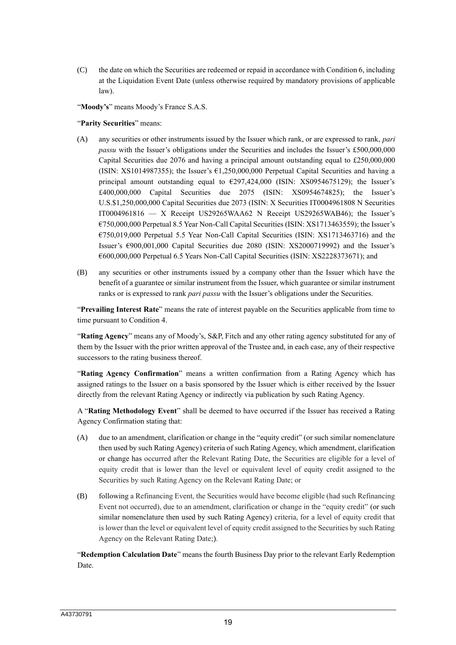(C) the date on which the Securities are redeemed or repaid in accordance with Condition 6, including at the Liquidation Event Date (unless otherwise required by mandatory provisions of applicable law).

"**Moody's**" means Moody's France S.A.S.

#### "**Parity Securities**" means:

- (A) any securities or other instruments issued by the Issuer which rank, or are expressed to rank, *pari passu* with the Issuer's obligations under the Securities and includes the Issuer's £500,000,000 Capital Securities due 2076 and having a principal amount outstanding equal to £250,000,000 (ISIN: XS1014987355); the Issuer's  $\epsilon$ 1,250,000,000 Perpetual Capital Securities and having a principal amount outstanding equal to €297,424,000 (ISIN: XS0954675129); the Issuer's £400,000,000 Capital Securities due 2075 (ISIN: XS0954674825); the Issuer's U.S.\$1,250,000,000 Capital Securities due 2073 (ISIN: X Securities IT0004961808 N Securities IT0004961816 — X Receipt US29265WAA62 N Receipt US29265WAB46); the Issuer's €750,000,000 Perpetual 8.5 Year Non-Call Capital Securities (ISIN: XS1713463559); the Issuer's €750,019,000 Perpetual 5.5 Year Non-Call Capital Securities (ISIN: XS1713463716) and the Issuer's €900,001,000 Capital Securities due 2080 (ISIN: XS2000719992) and the Issuer's €600,000,000 Perpetual 6.5 Years Non-Call Capital Securities (ISIN: XS2228373671); and
- (B) any securities or other instruments issued by a company other than the Issuer which have the benefit of a guarantee or similar instrument from the Issuer, which guarantee or similar instrument ranks or is expressed to rank *pari passu* with the Issuer's obligations under the Securities.

"**Prevailing Interest Rate**" means the rate of interest payable on the Securities applicable from time to time pursuant to Condition 4.

"**Rating Agency**" means any of Moody's, S&P, Fitch and any other rating agency substituted for any of them by the Issuer with the prior written approval of the Trustee and, in each case, any of their respective successors to the rating business thereof.

"**Rating Agency Confirmation**" means a written confirmation from a Rating Agency which has assigned ratings to the Issuer on a basis sponsored by the Issuer which is either received by the Issuer directly from the relevant Rating Agency or indirectly via publication by such Rating Agency.

A "**Rating Methodology Event**" shall be deemed to have occurred if the Issuer has received a Rating Agency Confirmation stating that:

- (A) due to an amendment, clarification or change in the "equity credit" (or such similar nomenclature then used by such Rating Agency) criteria of such Rating Agency, which amendment, clarification or change has occurred after the Relevant Rating Date, the Securities are eligible for a level of equity credit that is lower than the level or equivalent level of equity credit assigned to the Securities by such Rating Agency on the Relevant Rating Date; or
- (B) following a Refinancing Event, the Securities would have become eligible (had such Refinancing Event not occurred), due to an amendment, clarification or change in the "equity credit" (or such similar nomenclature then used by such Rating Agency) criteria, for a level of equity credit that is lower than the level or equivalent level of equity credit assigned to the Securities by such Rating Agency on the Relevant Rating Date;).

"**Redemption Calculation Date**" means the fourth Business Day prior to the relevant Early Redemption Date.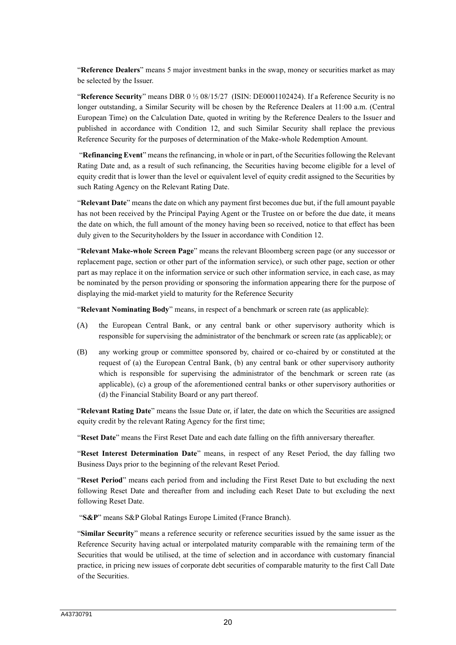"**Reference Dealers**" means 5 major investment banks in the swap, money or securities market as may be selected by the Issuer.

"**Reference Security**" means DBR 0 ½ 08/15/27 (ISIN: DE0001102424). If a Reference Security is no longer outstanding, a Similar Security will be chosen by the Reference Dealers at 11:00 a.m. (Central European Time) on the Calculation Date, quoted in writing by the Reference Dealers to the Issuer and published in accordance with Condition 12, and such Similar Security shall replace the previous Reference Security for the purposes of determination of the Make-whole Redemption Amount.

"**Refinancing Event**" means the refinancing, in whole or in part, of the Securities following the Relevant Rating Date and, as a result of such refinancing, the Securities having become eligible for a level of equity credit that is lower than the level or equivalent level of equity credit assigned to the Securities by such Rating Agency on the Relevant Rating Date.

"**Relevant Date**" means the date on which any payment first becomes due but, if the full amount payable has not been received by the Principal Paying Agent or the Trustee on or before the due date, it means the date on which, the full amount of the money having been so received, notice to that effect has been duly given to the Securityholders by the Issuer in accordance with Condition 12.

"**Relevant Make-whole Screen Page**" means the relevant Bloomberg screen page (or any successor or replacement page, section or other part of the information service), or such other page, section or other part as may replace it on the information service or such other information service, in each case, as may be nominated by the person providing or sponsoring the information appearing there for the purpose of displaying the mid-market yield to maturity for the Reference Security

"**Relevant Nominating Body**" means, in respect of a benchmark or screen rate (as applicable):

- (A) the European Central Bank, or any central bank or other supervisory authority which is responsible for supervising the administrator of the benchmark or screen rate (as applicable); or
- (B) any working group or committee sponsored by, chaired or co-chaired by or constituted at the request of (a) the European Central Bank, (b) any central bank or other supervisory authority which is responsible for supervising the administrator of the benchmark or screen rate (as applicable), (c) a group of the aforementioned central banks or other supervisory authorities or (d) the Financial Stability Board or any part thereof.

"**Relevant Rating Date**" means the Issue Date or, if later, the date on which the Securities are assigned equity credit by the relevant Rating Agency for the first time;

"**Reset Date**" means the First Reset Date and each date falling on the fifth anniversary thereafter.

"**Reset Interest Determination Date**" means, in respect of any Reset Period, the day falling two Business Days prior to the beginning of the relevant Reset Period.

"**Reset Period**" means each period from and including the First Reset Date to but excluding the next following Reset Date and thereafter from and including each Reset Date to but excluding the next following Reset Date.

"**S&P**" means S&P Global Ratings Europe Limited (France Branch).

"**Similar Security**" means a reference security or reference securities issued by the same issuer as the Reference Security having actual or interpolated maturity comparable with the remaining term of the Securities that would be utilised, at the time of selection and in accordance with customary financial practice, in pricing new issues of corporate debt securities of comparable maturity to the first Call Date of the Securities.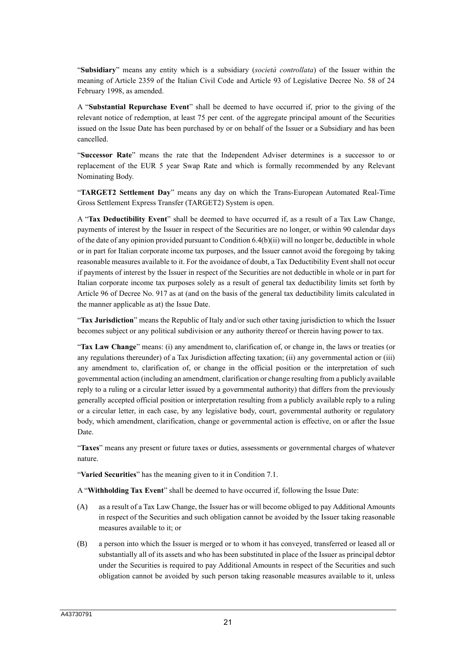"**Subsidiary**" means any entity which is a subsidiary (*società controllata*) of the Issuer within the meaning of Article 2359 of the Italian Civil Code and Article 93 of Legislative Decree No. 58 of 24 February 1998, as amended.

A "**Substantial Repurchase Event**" shall be deemed to have occurred if, prior to the giving of the relevant notice of redemption, at least 75 per cent. of the aggregate principal amount of the Securities issued on the Issue Date has been purchased by or on behalf of the Issuer or a Subsidiary and has been cancelled.

"**Successor Rate**" means the rate that the Independent Adviser determines is a successor to or replacement of the EUR 5 year Swap Rate and which is formally recommended by any Relevant Nominating Body.

"**TARGET2 Settlement Day**" means any day on which the Trans-European Automated Real-Time Gross Settlement Express Transfer (TARGET2) System is open.

A "**Tax Deductibility Event**" shall be deemed to have occurred if, as a result of a Tax Law Change, payments of interest by the Issuer in respect of the Securities are no longer, or within 90 calendar days of the date of any opinion provided pursuant to Condition 6.4(b)(ii) will no longer be, deductible in whole or in part for Italian corporate income tax purposes, and the Issuer cannot avoid the foregoing by taking reasonable measures available to it. For the avoidance of doubt, a Tax Deductibility Event shall not occur if payments of interest by the Issuer in respect of the Securities are not deductible in whole or in part for Italian corporate income tax purposes solely as a result of general tax deductibility limits set forth by Article 96 of Decree No. 917 as at (and on the basis of the general tax deductibility limits calculated in the manner applicable as at) the Issue Date.

"**Tax Jurisdiction**" means the Republic of Italy and/or such other taxing jurisdiction to which the Issuer becomes subject or any political subdivision or any authority thereof or therein having power to tax.

"**Tax Law Change**" means: (i) any amendment to, clarification of, or change in, the laws or treaties (or any regulations thereunder) of a Tax Jurisdiction affecting taxation; (ii) any governmental action or (iii) any amendment to, clarification of, or change in the official position or the interpretation of such governmental action (including an amendment, clarification or change resulting from a publicly available reply to a ruling or a circular letter issued by a governmental authority) that differs from the previously generally accepted official position or interpretation resulting from a publicly available reply to a ruling or a circular letter, in each case, by any legislative body, court, governmental authority or regulatory body, which amendment, clarification, change or governmental action is effective, on or after the Issue Date.

"**Taxes**" means any present or future taxes or duties, assessments or governmental charges of whatever nature.

"**Varied Securities**" has the meaning given to it in Condition 7.1.

A "**Withholding Tax Event**" shall be deemed to have occurred if, following the Issue Date:

- (A) as a result of a Tax Law Change, the Issuer has or will become obliged to pay Additional Amounts in respect of the Securities and such obligation cannot be avoided by the Issuer taking reasonable measures available to it; or
- (B) a person into which the Issuer is merged or to whom it has conveyed, transferred or leased all or substantially all of its assets and who has been substituted in place of the Issuer as principal debtor under the Securities is required to pay Additional Amounts in respect of the Securities and such obligation cannot be avoided by such person taking reasonable measures available to it, unless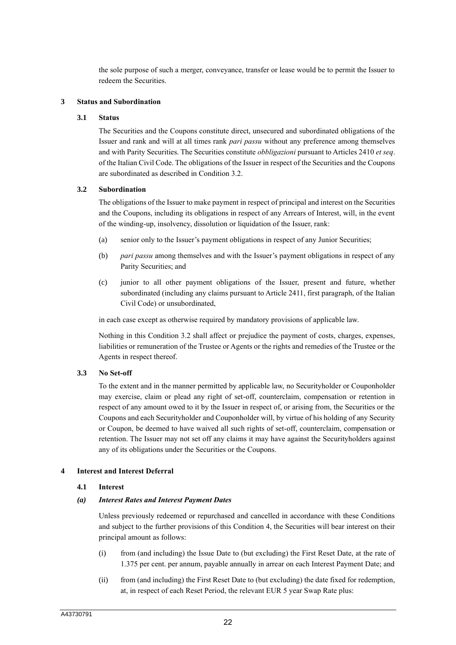the sole purpose of such a merger, conveyance, transfer or lease would be to permit the Issuer to redeem the Securities.

## **3 Status and Subordination**

## **3.1 Status**

The Securities and the Coupons constitute direct, unsecured and subordinated obligations of the Issuer and rank and will at all times rank *pari passu* without any preference among themselves and with Parity Securities. The Securities constitute *obbligazioni* pursuant to Articles 2410 *et seq*. of the Italian Civil Code. The obligations of the Issuer in respect of the Securities and the Coupons are subordinated as described in Condition 3.2.

## **3.2 Subordination**

The obligations of the Issuer to make payment in respect of principal and interest on the Securities and the Coupons, including its obligations in respect of any Arrears of Interest, will, in the event of the winding-up, insolvency, dissolution or liquidation of the Issuer, rank:

- (a) senior only to the Issuer's payment obligations in respect of any Junior Securities;
- (b) *pari passu* among themselves and with the Issuer's payment obligations in respect of any Parity Securities; and
- (c) junior to all other payment obligations of the Issuer, present and future, whether subordinated (including any claims pursuant to Article 2411, first paragraph, of the Italian Civil Code) or unsubordinated,

in each case except as otherwise required by mandatory provisions of applicable law.

Nothing in this Condition 3.2 shall affect or prejudice the payment of costs, charges, expenses, liabilities or remuneration of the Trustee or Agents or the rights and remedies of the Trustee or the Agents in respect thereof.

#### **3.3 No Set-off**

To the extent and in the manner permitted by applicable law, no Securityholder or Couponholder may exercise, claim or plead any right of set-off, counterclaim, compensation or retention in respect of any amount owed to it by the Issuer in respect of, or arising from, the Securities or the Coupons and each Securityholder and Couponholder will, by virtue of his holding of any Security or Coupon, be deemed to have waived all such rights of set-off, counterclaim, compensation or retention. The Issuer may not set off any claims it may have against the Securityholders against any of its obligations under the Securities or the Coupons.

#### **4 Interest and Interest Deferral**

#### **4.1 Interest**

#### *(a) Interest Rates and Interest Payment Dates*

Unless previously redeemed or repurchased and cancelled in accordance with these Conditions and subject to the further provisions of this Condition 4, the Securities will bear interest on their principal amount as follows:

- (i) from (and including) the Issue Date to (but excluding) the First Reset Date, at the rate of 1.375 per cent. per annum, payable annually in arrear on each Interest Payment Date; and
- (ii) from (and including) the First Reset Date to (but excluding) the date fixed for redemption, at, in respect of each Reset Period, the relevant EUR 5 year Swap Rate plus: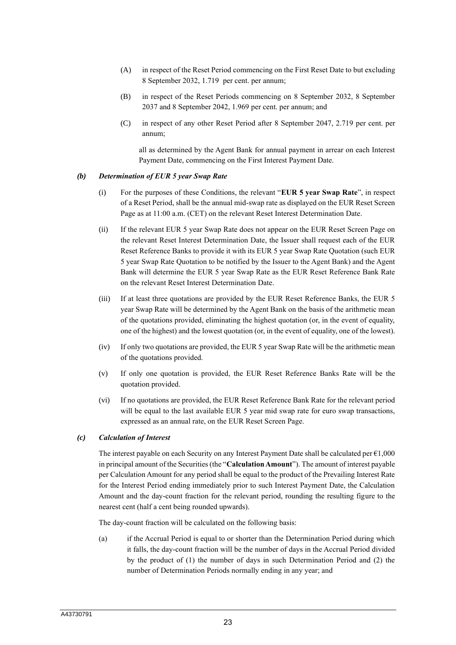- (A) in respect of the Reset Period commencing on the First Reset Date to but excluding 8 September 2032, 1.719 per cent. per annum;
- (B) in respect of the Reset Periods commencing on 8 September 2032, 8 September 2037 and 8 September 2042, 1.969 per cent. per annum; and
- (C) in respect of any other Reset Period after 8 September 2047, 2.719 per cent. per annum;

all as determined by the Agent Bank for annual payment in arrear on each Interest Payment Date, commencing on the First Interest Payment Date.

#### *(b) Determination of EUR 5 year Swap Rate*

- (i) For the purposes of these Conditions, the relevant "**EUR 5 year Swap Rate**", in respect of a Reset Period, shall be the annual mid-swap rate as displayed on the EUR Reset Screen Page as at 11:00 a.m. (CET) on the relevant Reset Interest Determination Date.
- (ii) If the relevant EUR 5 year Swap Rate does not appear on the EUR Reset Screen Page on the relevant Reset Interest Determination Date, the Issuer shall request each of the EUR Reset Reference Banks to provide it with its EUR 5 year Swap Rate Quotation (such EUR 5 year Swap Rate Quotation to be notified by the Issuer to the Agent Bank) and the Agent Bank will determine the EUR 5 year Swap Rate as the EUR Reset Reference Bank Rate on the relevant Reset Interest Determination Date.
- (iii) If at least three quotations are provided by the EUR Reset Reference Banks, the EUR 5 year Swap Rate will be determined by the Agent Bank on the basis of the arithmetic mean of the quotations provided, eliminating the highest quotation (or, in the event of equality, one of the highest) and the lowest quotation (or, in the event of equality, one of the lowest).
- (iv) If only two quotations are provided, the EUR 5 year Swap Rate will be the arithmetic mean of the quotations provided.
- (v) If only one quotation is provided, the EUR Reset Reference Banks Rate will be the quotation provided.
- (vi) If no quotations are provided, the EUR Reset Reference Bank Rate for the relevant period will be equal to the last available EUR 5 year mid swap rate for euro swap transactions, expressed as an annual rate, on the EUR Reset Screen Page.

## *(c) Calculation of Interest*

The interest payable on each Security on any Interest Payment Date shall be calculated per  $\epsilon$ 1,000 in principal amount of the Securities (the "**Calculation Amount**"). The amount of interest payable per Calculation Amount for any period shall be equal to the product of the Prevailing Interest Rate for the Interest Period ending immediately prior to such Interest Payment Date, the Calculation Amount and the day-count fraction for the relevant period, rounding the resulting figure to the nearest cent (half a cent being rounded upwards).

The day-count fraction will be calculated on the following basis:

(a) if the Accrual Period is equal to or shorter than the Determination Period during which it falls, the day-count fraction will be the number of days in the Accrual Period divided by the product of (1) the number of days in such Determination Period and (2) the number of Determination Periods normally ending in any year; and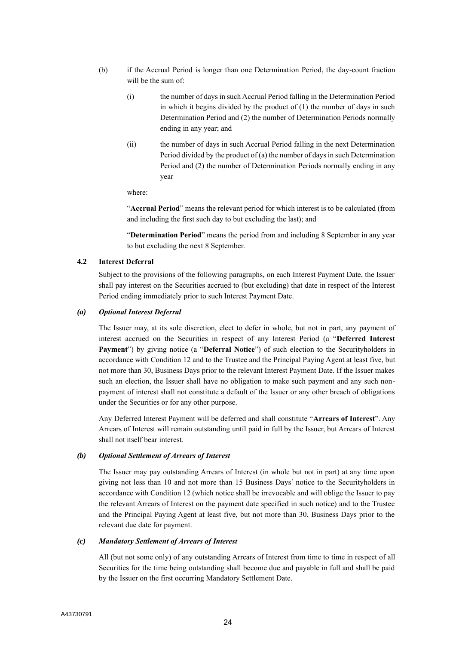- (b) if the Accrual Period is longer than one Determination Period, the day-count fraction will be the sum of:
	- (i) the number of days in such Accrual Period falling in the Determination Period in which it begins divided by the product of (1) the number of days in such Determination Period and (2) the number of Determination Periods normally ending in any year; and
	- (ii) the number of days in such Accrual Period falling in the next Determination Period divided by the product of (a) the number of days in such Determination Period and (2) the number of Determination Periods normally ending in any year

where:

"**Accrual Period**" means the relevant period for which interest is to be calculated (from and including the first such day to but excluding the last); and

"**Determination Period**" means the period from and including 8 September in any year to but excluding the next 8 September.

## **4.2 Interest Deferral**

Subject to the provisions of the following paragraphs, on each Interest Payment Date, the Issuer shall pay interest on the Securities accrued to (but excluding) that date in respect of the Interest Period ending immediately prior to such Interest Payment Date.

#### *(a) Optional Interest Deferral*

The Issuer may, at its sole discretion, elect to defer in whole, but not in part, any payment of interest accrued on the Securities in respect of any Interest Period (a "**Deferred Interest Payment**") by giving notice (a "**Deferral Notice**") of such election to the Securityholders in accordance with Condition 12 and to the Trustee and the Principal Paying Agent at least five, but not more than 30, Business Days prior to the relevant Interest Payment Date. If the Issuer makes such an election, the Issuer shall have no obligation to make such payment and any such nonpayment of interest shall not constitute a default of the Issuer or any other breach of obligations under the Securities or for any other purpose.

Any Deferred Interest Payment will be deferred and shall constitute "**Arrears of Interest**". Any Arrears of Interest will remain outstanding until paid in full by the Issuer, but Arrears of Interest shall not itself bear interest.

## *(b) Optional Settlement of Arrears of Interest*

The Issuer may pay outstanding Arrears of Interest (in whole but not in part) at any time upon giving not less than 10 and not more than 15 Business Days' notice to the Securityholders in accordance with Condition 12 (which notice shall be irrevocable and will oblige the Issuer to pay the relevant Arrears of Interest on the payment date specified in such notice) and to the Trustee and the Principal Paying Agent at least five, but not more than 30, Business Days prior to the relevant due date for payment.

#### *(c) Mandatory Settlement of Arrears of Interest*

All (but not some only) of any outstanding Arrears of Interest from time to time in respect of all Securities for the time being outstanding shall become due and payable in full and shall be paid by the Issuer on the first occurring Mandatory Settlement Date.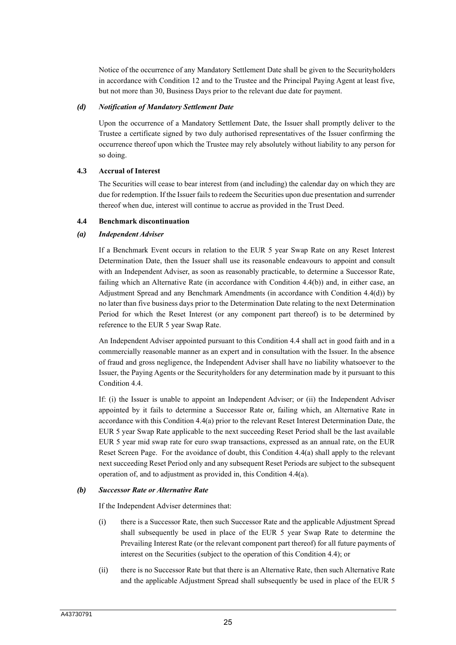Notice of the occurrence of any Mandatory Settlement Date shall be given to the Securityholders in accordance with Condition 12 and to the Trustee and the Principal Paying Agent at least five, but not more than 30, Business Days prior to the relevant due date for payment.

### *(d) Notification of Mandatory Settlement Date*

Upon the occurrence of a Mandatory Settlement Date, the Issuer shall promptly deliver to the Trustee a certificate signed by two duly authorised representatives of the Issuer confirming the occurrence thereof upon which the Trustee may rely absolutely without liability to any person for so doing.

## **4.3 Accrual of Interest**

The Securities will cease to bear interest from (and including) the calendar day on which they are due for redemption. If the Issuer fails to redeem the Securities upon due presentation and surrender thereof when due, interest will continue to accrue as provided in the Trust Deed.

## **4.4 Benchmark discontinuation**

## *(a) Independent Adviser*

If a Benchmark Event occurs in relation to the EUR 5 year Swap Rate on any Reset Interest Determination Date, then the Issuer shall use its reasonable endeavours to appoint and consult with an Independent Adviser, as soon as reasonably practicable, to determine a Successor Rate, failing which an Alternative Rate (in accordance with Condition 4.4(b)) and, in either case, an Adjustment Spread and any Benchmark Amendments (in accordance with Condition 4.4(d)) by no later than five business days prior to the Determination Date relating to the next Determination Period for which the Reset Interest (or any component part thereof) is to be determined by reference to the EUR 5 year Swap Rate.

An Independent Adviser appointed pursuant to this Condition 4.4 shall act in good faith and in a commercially reasonable manner as an expert and in consultation with the Issuer. In the absence of fraud and gross negligence, the Independent Adviser shall have no liability whatsoever to the Issuer, the Paying Agents or the Securityholders for any determination made by it pursuant to this Condition 4.4.

If: (i) the Issuer is unable to appoint an Independent Adviser; or (ii) the Independent Adviser appointed by it fails to determine a Successor Rate or, failing which, an Alternative Rate in accordance with this Condition 4.4(a) prior to the relevant Reset Interest Determination Date, the EUR 5 year Swap Rate applicable to the next succeeding Reset Period shall be the last available EUR 5 year mid swap rate for euro swap transactions, expressed as an annual rate, on the EUR Reset Screen Page. For the avoidance of doubt, this Condition 4.4(a) shall apply to the relevant next succeeding Reset Period only and any subsequent Reset Periods are subject to the subsequent operation of, and to adjustment as provided in, this Condition 4.4(a).

#### *(b) Successor Rate or Alternative Rate*

If the Independent Adviser determines that:

- (i) there is a Successor Rate, then such Successor Rate and the applicable Adjustment Spread shall subsequently be used in place of the EUR 5 year Swap Rate to determine the Prevailing Interest Rate (or the relevant component part thereof) for all future payments of interest on the Securities (subject to the operation of this Condition 4.4); or
- (ii) there is no Successor Rate but that there is an Alternative Rate, then such Alternative Rate and the applicable Adjustment Spread shall subsequently be used in place of the EUR 5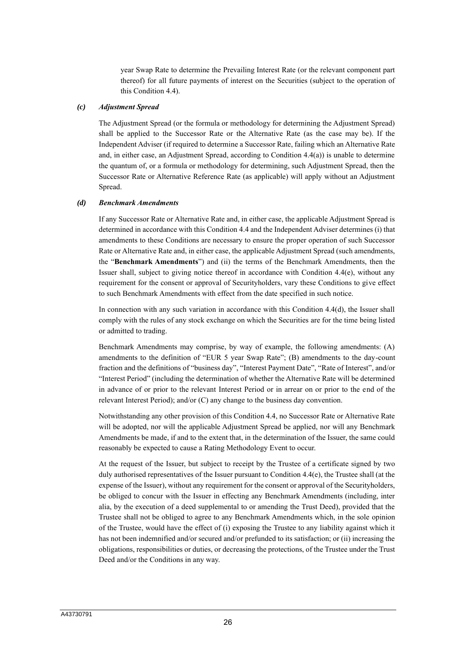year Swap Rate to determine the Prevailing Interest Rate (or the relevant component part thereof) for all future payments of interest on the Securities (subject to the operation of this Condition 4.4).

#### *(c) Adjustment Spread*

The Adjustment Spread (or the formula or methodology for determining the Adjustment Spread) shall be applied to the Successor Rate or the Alternative Rate (as the case may be). If the Independent Adviser (if required to determine a Successor Rate, failing which an Alternative Rate and, in either case, an Adjustment Spread, according to Condition 4.4(a)) is unable to determine the quantum of, or a formula or methodology for determining, such Adjustment Spread, then the Successor Rate or Alternative Reference Rate (as applicable) will apply without an Adjustment Spread.

#### *(d) Benchmark Amendments*

If any Successor Rate or Alternative Rate and, in either case, the applicable Adjustment Spread is determined in accordance with this Condition 4.4 and the Independent Adviser determines (i) that amendments to these Conditions are necessary to ensure the proper operation of such Successor Rate or Alternative Rate and, in either case, the applicable Adjustment Spread (such amendments, the "**Benchmark Amendments**") and (ii) the terms of the Benchmark Amendments, then the Issuer shall, subject to giving notice thereof in accordance with Condition 4.4(e), without any requirement for the consent or approval of Securityholders, vary these Conditions to give effect to such Benchmark Amendments with effect from the date specified in such notice.

In connection with any such variation in accordance with this Condition 4.4(d), the Issuer shall comply with the rules of any stock exchange on which the Securities are for the time being listed or admitted to trading.

Benchmark Amendments may comprise, by way of example, the following amendments: (A) amendments to the definition of "EUR 5 year Swap Rate"; (B) amendments to the day-count fraction and the definitions of "business day", "Interest Payment Date", "Rate of Interest", and/or "Interest Period" (including the determination of whether the Alternative Rate will be determined in advance of or prior to the relevant Interest Period or in arrear on or prior to the end of the relevant Interest Period); and/or (C) any change to the business day convention.

Notwithstanding any other provision of this Condition 4.4, no Successor Rate or Alternative Rate will be adopted, nor will the applicable Adjustment Spread be applied, nor will any Benchmark Amendments be made, if and to the extent that, in the determination of the Issuer, the same could reasonably be expected to cause a Rating Methodology Event to occur.

At the request of the Issuer, but subject to receipt by the Trustee of a certificate signed by two duly authorised representatives of the Issuer pursuant to Condition 4.4(e), the Trustee shall (at the expense of the Issuer), without any requirement for the consent or approval of the Securityholders, be obliged to concur with the Issuer in effecting any Benchmark Amendments (including, inter alia, by the execution of a deed supplemental to or amending the Trust Deed), provided that the Trustee shall not be obliged to agree to any Benchmark Amendments which, in the sole opinion of the Trustee, would have the effect of (i) exposing the Trustee to any liability against which it has not been indemnified and/or secured and/or prefunded to its satisfaction; or (ii) increasing the obligations, responsibilities or duties, or decreasing the protections, of the Trustee under the Trust Deed and/or the Conditions in any way.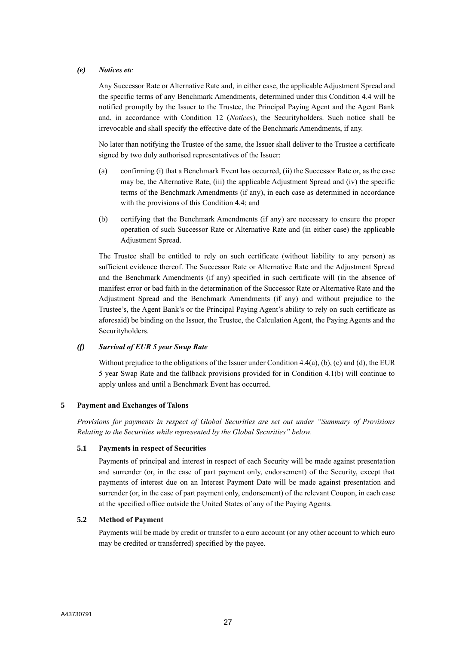## *(e) Notices etc*

Any Successor Rate or Alternative Rate and, in either case, the applicable Adjustment Spread and the specific terms of any Benchmark Amendments, determined under this Condition 4.4 will be notified promptly by the Issuer to the Trustee, the Principal Paying Agent and the Agent Bank and, in accordance with Condition 12 (*Notices*), the Securityholders. Such notice shall be irrevocable and shall specify the effective date of the Benchmark Amendments, if any.

No later than notifying the Trustee of the same, the Issuer shall deliver to the Trustee a certificate signed by two duly authorised representatives of the Issuer:

- (a) confirming (i) that a Benchmark Event has occurred, (ii) the Successor Rate or, as the case may be, the Alternative Rate, (iii) the applicable Adjustment Spread and (iv) the specific terms of the Benchmark Amendments (if any), in each case as determined in accordance with the provisions of this Condition 4.4; and
- (b) certifying that the Benchmark Amendments (if any) are necessary to ensure the proper operation of such Successor Rate or Alternative Rate and (in either case) the applicable Adjustment Spread.

The Trustee shall be entitled to rely on such certificate (without liability to any person) as sufficient evidence thereof. The Successor Rate or Alternative Rate and the Adjustment Spread and the Benchmark Amendments (if any) specified in such certificate will (in the absence of manifest error or bad faith in the determination of the Successor Rate or Alternative Rate and the Adjustment Spread and the Benchmark Amendments (if any) and without prejudice to the Trustee's, the Agent Bank's or the Principal Paying Agent's ability to rely on such certificate as aforesaid) be binding on the Issuer, the Trustee, the Calculation Agent, the Paying Agents and the Securityholders.

## *(f) Survival of EUR 5 year Swap Rate*

Without prejudice to the obligations of the Issuer under Condition 4.4(a), (b), (c) and (d), the EUR 5 year Swap Rate and the fallback provisions provided for in Condition 4.1(b) will continue to apply unless and until a Benchmark Event has occurred.

## **5 Payment and Exchanges of Talons**

*Provisions for payments in respect of Global Securities are set out under "Summary of Provisions Relating to the Securities while represented by the Global Securities" below.*

#### **5.1 Payments in respect of Securities**

Payments of principal and interest in respect of each Security will be made against presentation and surrender (or, in the case of part payment only, endorsement) of the Security, except that payments of interest due on an Interest Payment Date will be made against presentation and surrender (or, in the case of part payment only, endorsement) of the relevant Coupon, in each case at the specified office outside the United States of any of the Paying Agents.

#### **5.2 Method of Payment**

Payments will be made by credit or transfer to a euro account (or any other account to which euro may be credited or transferred) specified by the payee.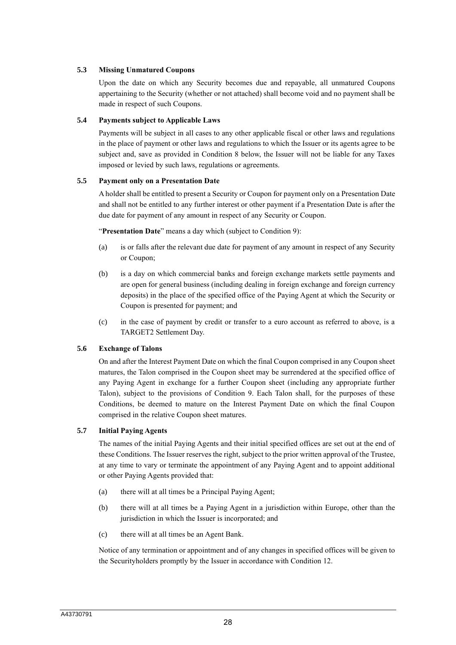## **5.3 Missing Unmatured Coupons**

Upon the date on which any Security becomes due and repayable, all unmatured Coupons appertaining to the Security (whether or not attached) shall become void and no payment shall be made in respect of such Coupons.

## **5.4 Payments subject to Applicable Laws**

Payments will be subject in all cases to any other applicable fiscal or other laws and regulations in the place of payment or other laws and regulations to which the Issuer or its agents agree to be subject and, save as provided in Condition 8 below, the Issuer will not be liable for any Taxes imposed or levied by such laws, regulations or agreements.

## **5.5 Payment only on a Presentation Date**

A holder shall be entitled to present a Security or Coupon for payment only on a Presentation Date and shall not be entitled to any further interest or other payment if a Presentation Date is after the due date for payment of any amount in respect of any Security or Coupon.

"**Presentation Date**" means a day which (subject to Condition 9):

- (a) is or falls after the relevant due date for payment of any amount in respect of any Security or Coupon;
- (b) is a day on which commercial banks and foreign exchange markets settle payments and are open for general business (including dealing in foreign exchange and foreign currency deposits) in the place of the specified office of the Paying Agent at which the Security or Coupon is presented for payment; and
- (c) in the case of payment by credit or transfer to a euro account as referred to above, is a TARGET2 Settlement Day.

## **5.6 Exchange of Talons**

On and after the Interest Payment Date on which the final Coupon comprised in any Coupon sheet matures, the Talon comprised in the Coupon sheet may be surrendered at the specified office of any Paying Agent in exchange for a further Coupon sheet (including any appropriate further Talon), subject to the provisions of Condition 9. Each Talon shall, for the purposes of these Conditions, be deemed to mature on the Interest Payment Date on which the final Coupon comprised in the relative Coupon sheet matures.

## **5.7 Initial Paying Agents**

The names of the initial Paying Agents and their initial specified offices are set out at the end of these Conditions. The Issuer reserves the right, subject to the prior written approval of the Trustee, at any time to vary or terminate the appointment of any Paying Agent and to appoint additional or other Paying Agents provided that:

- (a) there will at all times be a Principal Paying Agent;
- (b) there will at all times be a Paying Agent in a jurisdiction within Europe, other than the jurisdiction in which the Issuer is incorporated; and
- (c) there will at all times be an Agent Bank.

Notice of any termination or appointment and of any changes in specified offices will be given to the Securityholders promptly by the Issuer in accordance with Condition 12.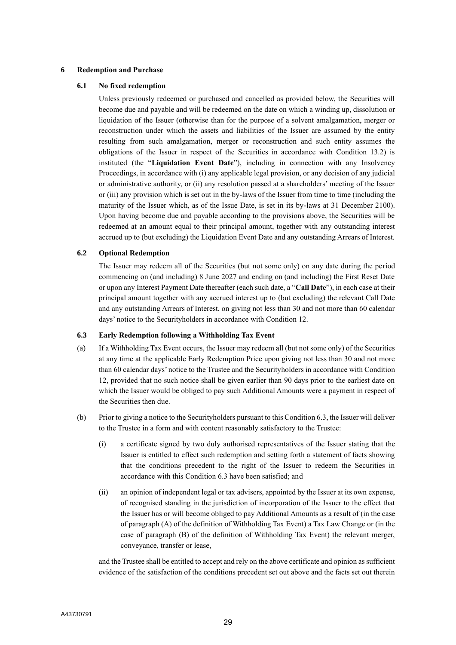### **6 Redemption and Purchase**

## **6.1 No fixed redemption**

Unless previously redeemed or purchased and cancelled as provided below, the Securities will become due and payable and will be redeemed on the date on which a winding up, dissolution or liquidation of the Issuer (otherwise than for the purpose of a solvent amalgamation, merger or reconstruction under which the assets and liabilities of the Issuer are assumed by the entity resulting from such amalgamation, merger or reconstruction and such entity assumes the obligations of the Issuer in respect of the Securities in accordance with Condition 13.2) is instituted (the "**Liquidation Event Date**"), including in connection with any Insolvency Proceedings, in accordance with (i) any applicable legal provision, or any decision of any judicial or administrative authority, or (ii) any resolution passed at a shareholders' meeting of the Issuer or (iii) any provision which is set out in the by-laws of the Issuer from time to time (including the maturity of the Issuer which, as of the Issue Date, is set in its by-laws at 31 December 2100). Upon having become due and payable according to the provisions above, the Securities will be redeemed at an amount equal to their principal amount, together with any outstanding interest accrued up to (but excluding) the Liquidation Event Date and any outstanding Arrears of Interest.

## **6.2 Optional Redemption**

The Issuer may redeem all of the Securities (but not some only) on any date during the period commencing on (and including) 8 June 2027 and ending on (and including) the First Reset Date or upon any Interest Payment Date thereafter (each such date, a "**Call Date**"), in each case at their principal amount together with any accrued interest up to (but excluding) the relevant Call Date and any outstanding Arrears of Interest, on giving not less than 30 and not more than 60 calendar days' notice to the Securityholders in accordance with Condition 12.

#### **6.3 Early Redemption following a Withholding Tax Event**

- (a) If a Withholding Tax Event occurs, the Issuer may redeem all (but not some only) of the Securities at any time at the applicable Early Redemption Price upon giving not less than 30 and not more than 60 calendar days' notice to the Trustee and the Securityholders in accordance with Condition 12, provided that no such notice shall be given earlier than 90 days prior to the earliest date on which the Issuer would be obliged to pay such Additional Amounts were a payment in respect of the Securities then due.
- (b) Prior to giving a notice to the Securityholders pursuant to this Condition 6.3, the Issuer will deliver to the Trustee in a form and with content reasonably satisfactory to the Trustee:
	- (i) a certificate signed by two duly authorised representatives of the Issuer stating that the Issuer is entitled to effect such redemption and setting forth a statement of facts showing that the conditions precedent to the right of the Issuer to redeem the Securities in accordance with this Condition 6.3 have been satisfied; and
	- (ii) an opinion of independent legal or tax advisers, appointed by the Issuer at its own expense, of recognised standing in the jurisdiction of incorporation of the Issuer to the effect that the Issuer has or will become obliged to pay Additional Amounts as a result of (in the case of paragraph (A) of the definition of Withholding Tax Event) a Tax Law Change or (in the case of paragraph (B) of the definition of Withholding Tax Event) the relevant merger, conveyance, transfer or lease,

and the Trustee shall be entitled to accept and rely on the above certificate and opinion as sufficient evidence of the satisfaction of the conditions precedent set out above and the facts set out therein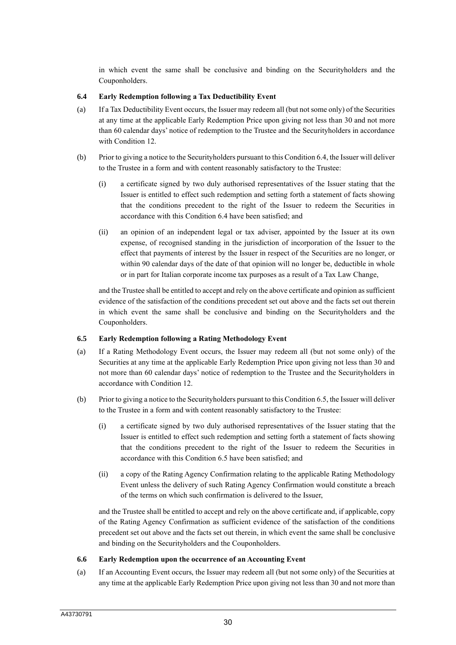in which event the same shall be conclusive and binding on the Securityholders and the Couponholders.

## **6.4 Early Redemption following a Tax Deductibility Event**

- (a) If a Tax Deductibility Event occurs, the Issuer may redeem all (but not some only) of the Securities at any time at the applicable Early Redemption Price upon giving not less than 30 and not more than 60 calendar days' notice of redemption to the Trustee and the Securityholders in accordance with Condition 12.
- (b) Prior to giving a notice to the Securityholders pursuant to this Condition 6.4, the Issuer will deliver to the Trustee in a form and with content reasonably satisfactory to the Trustee:
	- (i) a certificate signed by two duly authorised representatives of the Issuer stating that the Issuer is entitled to effect such redemption and setting forth a statement of facts showing that the conditions precedent to the right of the Issuer to redeem the Securities in accordance with this Condition 6.4 have been satisfied; and
	- (ii) an opinion of an independent legal or tax adviser, appointed by the Issuer at its own expense, of recognised standing in the jurisdiction of incorporation of the Issuer to the effect that payments of interest by the Issuer in respect of the Securities are no longer, or within 90 calendar days of the date of that opinion will no longer be, deductible in whole or in part for Italian corporate income tax purposes as a result of a Tax Law Change,

and the Trustee shall be entitled to accept and rely on the above certificate and opinion as sufficient evidence of the satisfaction of the conditions precedent set out above and the facts set out therein in which event the same shall be conclusive and binding on the Securityholders and the Couponholders.

#### **6.5 Early Redemption following a Rating Methodology Event**

- (a) If a Rating Methodology Event occurs, the Issuer may redeem all (but not some only) of the Securities at any time at the applicable Early Redemption Price upon giving not less than 30 and not more than 60 calendar days' notice of redemption to the Trustee and the Securityholders in accordance with Condition 12.
- (b) Prior to giving a notice to the Securityholders pursuant to this Condition 6.5, the Issuer will deliver to the Trustee in a form and with content reasonably satisfactory to the Trustee:
	- (i) a certificate signed by two duly authorised representatives of the Issuer stating that the Issuer is entitled to effect such redemption and setting forth a statement of facts showing that the conditions precedent to the right of the Issuer to redeem the Securities in accordance with this Condition 6.5 have been satisfied; and
	- (ii) a copy of the Rating Agency Confirmation relating to the applicable Rating Methodology Event unless the delivery of such Rating Agency Confirmation would constitute a breach of the terms on which such confirmation is delivered to the Issuer,

and the Trustee shall be entitled to accept and rely on the above certificate and, if applicable, copy of the Rating Agency Confirmation as sufficient evidence of the satisfaction of the conditions precedent set out above and the facts set out therein, in which event the same shall be conclusive and binding on the Securityholders and the Couponholders.

## **6.6 Early Redemption upon the occurrence of an Accounting Event**

(a) If an Accounting Event occurs, the Issuer may redeem all (but not some only) of the Securities at any time at the applicable Early Redemption Price upon giving not less than 30 and not more than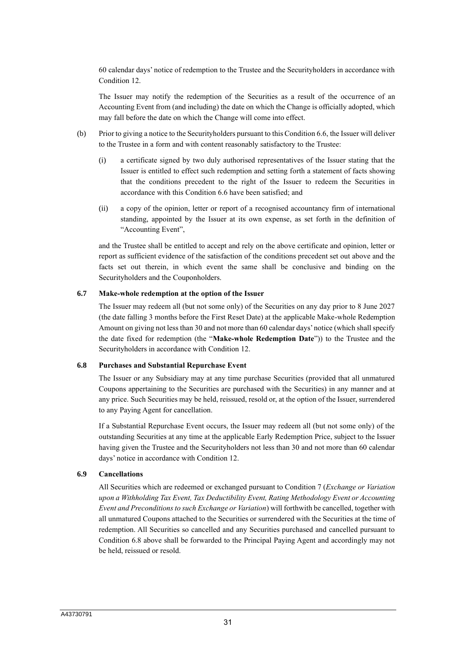60 calendar days' notice of redemption to the Trustee and the Securityholders in accordance with Condition 12.

The Issuer may notify the redemption of the Securities as a result of the occurrence of an Accounting Event from (and including) the date on which the Change is officially adopted, which may fall before the date on which the Change will come into effect.

- (b) Prior to giving a notice to the Securityholders pursuant to this Condition 6.6, the Issuer will deliver to the Trustee in a form and with content reasonably satisfactory to the Trustee:
	- (i) a certificate signed by two duly authorised representatives of the Issuer stating that the Issuer is entitled to effect such redemption and setting forth a statement of facts showing that the conditions precedent to the right of the Issuer to redeem the Securities in accordance with this Condition 6.6 have been satisfied; and
	- (ii) a copy of the opinion, letter or report of a recognised accountancy firm of international standing, appointed by the Issuer at its own expense, as set forth in the definition of "Accounting Event",

and the Trustee shall be entitled to accept and rely on the above certificate and opinion, letter or report as sufficient evidence of the satisfaction of the conditions precedent set out above and the facts set out therein, in which event the same shall be conclusive and binding on the Securityholders and the Couponholders.

## **6.7 Make-whole redemption at the option of the Issuer**

The Issuer may redeem all (but not some only) of the Securities on any day prior to 8 June 2027 (the date falling 3 months before the First Reset Date) at the applicable Make-whole Redemption Amount on giving not less than 30 and not more than 60 calendar days' notice (which shall specify the date fixed for redemption (the "**Make-whole Redemption Date**")) to the Trustee and the Securityholders in accordance with Condition 12.

#### **6.8 Purchases and Substantial Repurchase Event**

The Issuer or any Subsidiary may at any time purchase Securities (provided that all unmatured Coupons appertaining to the Securities are purchased with the Securities) in any manner and at any price. Such Securities may be held, reissued, resold or, at the option of the Issuer, surrendered to any Paying Agent for cancellation.

If a Substantial Repurchase Event occurs, the Issuer may redeem all (but not some only) of the outstanding Securities at any time at the applicable Early Redemption Price, subject to the Issuer having given the Trustee and the Securityholders not less than 30 and not more than 60 calendar days' notice in accordance with Condition 12.

## **6.9 Cancellations**

All Securities which are redeemed or exchanged pursuant to Condition 7 (*Exchange or Variation upon a Withholding Tax Event, Tax Deductibility Event, Rating Methodology Event or Accounting Event and Preconditions to such Exchange or Variation*) will forthwith be cancelled, together with all unmatured Coupons attached to the Securities or surrendered with the Securities at the time of redemption. All Securities so cancelled and any Securities purchased and cancelled pursuant to Condition 6.8 above shall be forwarded to the Principal Paying Agent and accordingly may not be held, reissued or resold.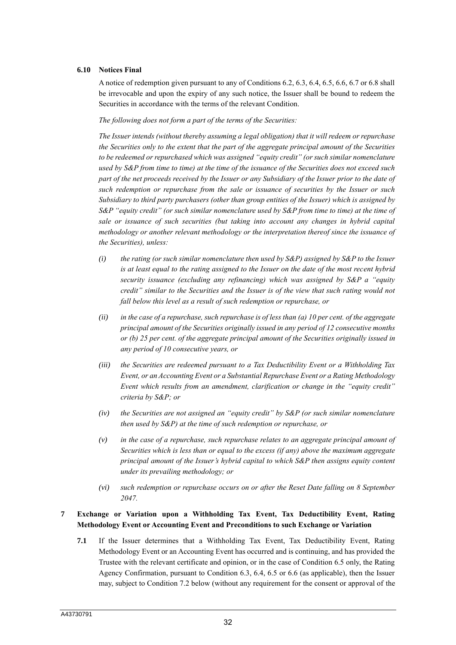#### **6.10 Notices Final**

A notice of redemption given pursuant to any of Conditions 6.2, 6.3, 6.4, 6.5, 6.6, 6.7 or 6.8 shall be irrevocable and upon the expiry of any such notice, the Issuer shall be bound to redeem the Securities in accordance with the terms of the relevant Condition.

*The following does not form a part of the terms of the Securities:*

*The Issuer intends (without thereby assuming a legal obligation) that it will redeem or repurchase the Securities only to the extent that the part of the aggregate principal amount of the Securities to be redeemed or repurchased which was assigned "equity credit" (or such similar nomenclature used by S&P from time to time) at the time of the issuance of the Securities does not exceed such part of the net proceeds received by the Issuer or any Subsidiary of the Issuer prior to the date of such redemption or repurchase from the sale or issuance of securities by the Issuer or such Subsidiary to third party purchasers (other than group entities of the Issuer) which is assigned by S&P "equity credit" (or such similar nomenclature used by S&P from time to time) at the time of sale or issuance of such securities (but taking into account any changes in hybrid capital methodology or another relevant methodology or the interpretation thereof since the issuance of the Securities), unless:*

- *(i) the rating (or such similar nomenclature then used by S&P) assigned by S&P to the Issuer is at least equal to the rating assigned to the Issuer on the date of the most recent hybrid security issuance (excluding any refinancing) which was assigned by S&P a "equity credit" similar to the Securities and the Issuer is of the view that such rating would not fall below this level as a result of such redemption or repurchase, or*
- *(ii) in the case of a repurchase, such repurchase is of less than (a) 10 per cent. of the aggregate principal amount of the Securities originally issued in any period of 12 consecutive months or (b) 25 per cent. of the aggregate principal amount of the Securities originally issued in any period of 10 consecutive years, or*
- *(iii) the Securities are redeemed pursuant to a Tax Deductibility Event or a Withholding Tax Event, or an Accounting Event or a Substantial Repurchase Event or a Rating Methodology Event which results from an amendment, clarification or change in the "equity credit" criteria by S&P; or*
- *(iv) the Securities are not assigned an "equity credit" by S&P (or such similar nomenclature then used by S&P) at the time of such redemption or repurchase, or*
- *(v) in the case of a repurchase, such repurchase relates to an aggregate principal amount of Securities which is less than or equal to the excess (if any) above the maximum aggregate principal amount of the Issuer's hybrid capital to which S&P then assigns equity content under its prevailing methodology; or*
- *(vi) such redemption or repurchase occurs on or after the Reset Date falling on 8 September 2047.*

# **7 Exchange or Variation upon a Withholding Tax Event, Tax Deductibility Event, Rating Methodology Event or Accounting Event and Preconditions to such Exchange or Variation**

**7.1** If the Issuer determines that a Withholding Tax Event, Tax Deductibility Event, Rating Methodology Event or an Accounting Event has occurred and is continuing, and has provided the Trustee with the relevant certificate and opinion, or in the case of Condition 6.5 only, the Rating Agency Confirmation, pursuant to Condition 6.3, 6.4, 6.5 or 6.6 (as applicable), then the Issuer may, subject to Condition 7.2 below (without any requirement for the consent or approval of the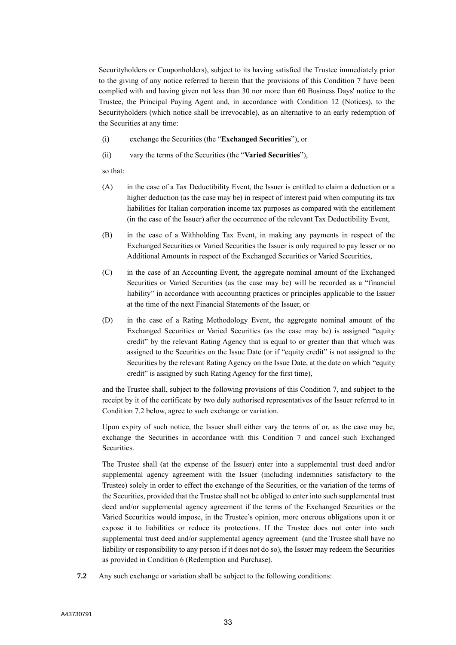Securityholders or Couponholders), subject to its having satisfied the Trustee immediately prior to the giving of any notice referred to herein that the provisions of this Condition 7 have been complied with and having given not less than 30 nor more than 60 Business Days' notice to the Trustee, the Principal Paying Agent and, in accordance with Condition 12 (Notices), to the Securityholders (which notice shall be irrevocable), as an alternative to an early redemption of the Securities at any time:

- (i) exchange the Securities (the "**Exchanged Securities**"), or
- (ii) vary the terms of the Securities (the "**Varied Securities**"),

so that:

- (A) in the case of a Tax Deductibility Event, the Issuer is entitled to claim a deduction or a higher deduction (as the case may be) in respect of interest paid when computing its tax liabilities for Italian corporation income tax purposes as compared with the entitlement (in the case of the Issuer) after the occurrence of the relevant Tax Deductibility Event,
- (B) in the case of a Withholding Tax Event, in making any payments in respect of the Exchanged Securities or Varied Securities the Issuer is only required to pay lesser or no Additional Amounts in respect of the Exchanged Securities or Varied Securities,
- (C) in the case of an Accounting Event, the aggregate nominal amount of the Exchanged Securities or Varied Securities (as the case may be) will be recorded as a "financial liability" in accordance with accounting practices or principles applicable to the Issuer at the time of the next Financial Statements of the Issuer, or
- (D) in the case of a Rating Methodology Event, the aggregate nominal amount of the Exchanged Securities or Varied Securities (as the case may be) is assigned "equity credit" by the relevant Rating Agency that is equal to or greater than that which was assigned to the Securities on the Issue Date (or if "equity credit" is not assigned to the Securities by the relevant Rating Agency on the Issue Date, at the date on which "equity credit" is assigned by such Rating Agency for the first time),

and the Trustee shall, subject to the following provisions of this Condition 7, and subject to the receipt by it of the certificate by two duly authorised representatives of the Issuer referred to in Condition 7.2 below, agree to such exchange or variation.

Upon expiry of such notice, the Issuer shall either vary the terms of or, as the case may be, exchange the Securities in accordance with this Condition 7 and cancel such Exchanged Securities.

The Trustee shall (at the expense of the Issuer) enter into a supplemental trust deed and/or supplemental agency agreement with the Issuer (including indemnities satisfactory to the Trustee) solely in order to effect the exchange of the Securities, or the variation of the terms of the Securities, provided that the Trustee shall not be obliged to enter into such supplemental trust deed and/or supplemental agency agreement if the terms of the Exchanged Securities or the Varied Securities would impose, in the Trustee's opinion, more onerous obligations upon it or expose it to liabilities or reduce its protections. If the Trustee does not enter into such supplemental trust deed and/or supplemental agency agreement (and the Trustee shall have no liability or responsibility to any person if it does not do so), the Issuer may redeem the Securities as provided in Condition 6 (Redemption and Purchase).

**7.2** Any such exchange or variation shall be subject to the following conditions: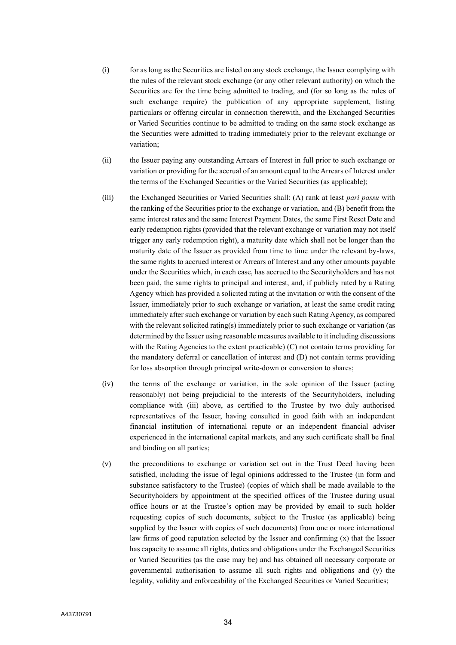- (i) for as long as the Securities are listed on any stock exchange, the Issuer complying with the rules of the relevant stock exchange (or any other relevant authority) on which the Securities are for the time being admitted to trading, and (for so long as the rules of such exchange require) the publication of any appropriate supplement, listing particulars or offering circular in connection therewith, and the Exchanged Securities or Varied Securities continue to be admitted to trading on the same stock exchange as the Securities were admitted to trading immediately prior to the relevant exchange or variation;
- (ii) the Issuer paying any outstanding Arrears of Interest in full prior to such exchange or variation or providing for the accrual of an amount equal to the Arrears of Interest under the terms of the Exchanged Securities or the Varied Securities (as applicable);
- (iii) the Exchanged Securities or Varied Securities shall: (A) rank at least *pari passu* with the ranking of the Securities prior to the exchange or variation, and (B) benefit from the same interest rates and the same Interest Payment Dates, the same First Reset Date and early redemption rights (provided that the relevant exchange or variation may not itself trigger any early redemption right), a maturity date which shall not be longer than the maturity date of the Issuer as provided from time to time under the relevant by-laws, the same rights to accrued interest or Arrears of Interest and any other amounts payable under the Securities which, in each case, has accrued to the Securityholders and has not been paid, the same rights to principal and interest, and, if publicly rated by a Rating Agency which has provided a solicited rating at the invitation or with the consent of the Issuer, immediately prior to such exchange or variation, at least the same credit rating immediately after such exchange or variation by each such Rating Agency, as compared with the relevant solicited rating(s) immediately prior to such exchange or variation (as determined by the Issuer using reasonable measures available to it including discussions with the Rating Agencies to the extent practicable) (C) not contain terms providing for the mandatory deferral or cancellation of interest and (D) not contain terms providing for loss absorption through principal write-down or conversion to shares;
- (iv) the terms of the exchange or variation, in the sole opinion of the Issuer (acting reasonably) not being prejudicial to the interests of the Securityholders, including compliance with (iii) above, as certified to the Trustee by two duly authorised representatives of the Issuer, having consulted in good faith with an independent financial institution of international repute or an independent financial adviser experienced in the international capital markets, and any such certificate shall be final and binding on all parties;
- (v) the preconditions to exchange or variation set out in the Trust Deed having been satisfied, including the issue of legal opinions addressed to the Trustee (in form and substance satisfactory to the Trustee) (copies of which shall be made available to the Securityholders by appointment at the specified offices of the Trustee during usual office hours or at the Trustee's option may be provided by email to such holder requesting copies of such documents, subject to the Trustee (as applicable) being supplied by the Issuer with copies of such documents) from one or more international law firms of good reputation selected by the Issuer and confirming (x) that the Issuer has capacity to assume all rights, duties and obligations under the Exchanged Securities or Varied Securities (as the case may be) and has obtained all necessary corporate or governmental authorisation to assume all such rights and obligations and (y) the legality, validity and enforceability of the Exchanged Securities or Varied Securities;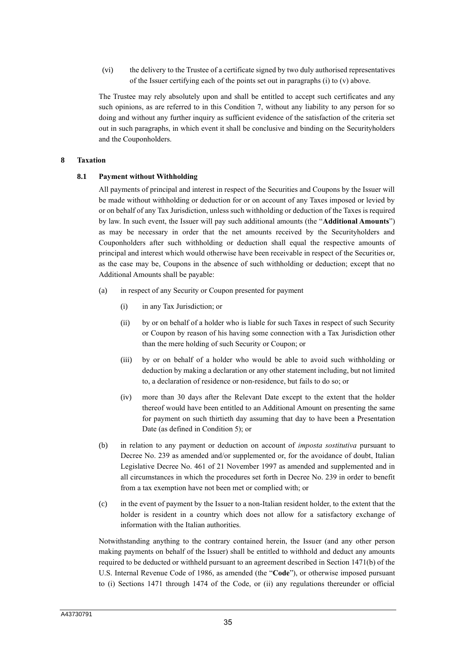(vi) the delivery to the Trustee of a certificate signed by two duly authorised representatives of the Issuer certifying each of the points set out in paragraphs (i) to (v) above.

The Trustee may rely absolutely upon and shall be entitled to accept such certificates and any such opinions, as are referred to in this Condition 7, without any liability to any person for so doing and without any further inquiry as sufficient evidence of the satisfaction of the criteria set out in such paragraphs, in which event it shall be conclusive and binding on the Securityholders and the Couponholders.

#### **8 Taxation**

#### **8.1 Payment without Withholding**

All payments of principal and interest in respect of the Securities and Coupons by the Issuer will be made without withholding or deduction for or on account of any Taxes imposed or levied by or on behalf of any Tax Jurisdiction, unless such withholding or deduction of the Taxes is required by law. In such event, the Issuer will pay such additional amounts (the "**Additional Amounts**") as may be necessary in order that the net amounts received by the Securityholders and Couponholders after such withholding or deduction shall equal the respective amounts of principal and interest which would otherwise have been receivable in respect of the Securities or, as the case may be, Coupons in the absence of such withholding or deduction; except that no Additional Amounts shall be payable:

- (a) in respect of any Security or Coupon presented for payment
	- (i) in any Tax Jurisdiction; or
	- (ii) by or on behalf of a holder who is liable for such Taxes in respect of such Security or Coupon by reason of his having some connection with a Tax Jurisdiction other than the mere holding of such Security or Coupon; or
	- (iii) by or on behalf of a holder who would be able to avoid such withholding or deduction by making a declaration or any other statement including, but not limited to, a declaration of residence or non-residence, but fails to do so; or
	- (iv) more than 30 days after the Relevant Date except to the extent that the holder thereof would have been entitled to an Additional Amount on presenting the same for payment on such thirtieth day assuming that day to have been a Presentation Date (as defined in Condition 5); or
- (b) in relation to any payment or deduction on account of *imposta sostitutiva* pursuant to Decree No. 239 as amended and/or supplemented or, for the avoidance of doubt, Italian Legislative Decree No. 461 of 21 November 1997 as amended and supplemented and in all circumstances in which the procedures set forth in Decree No. 239 in order to benefit from a tax exemption have not been met or complied with; or
- (c) in the event of payment by the Issuer to a non-Italian resident holder, to the extent that the holder is resident in a country which does not allow for a satisfactory exchange of information with the Italian authorities.

Notwithstanding anything to the contrary contained herein, the Issuer (and any other person making payments on behalf of the Issuer) shall be entitled to withhold and deduct any amounts required to be deducted or withheld pursuant to an agreement described in Section 1471(b) of the U.S. Internal Revenue Code of 1986, as amended (the "**Code**"), or otherwise imposed pursuant to (i) Sections 1471 through 1474 of the Code, or (ii) any regulations thereunder or official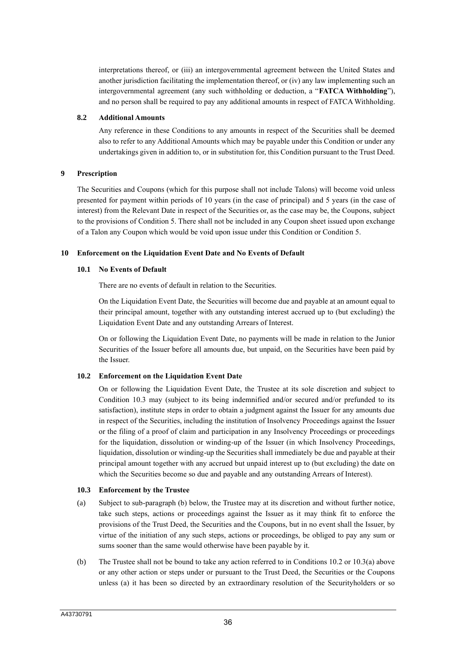interpretations thereof, or (iii) an intergovernmental agreement between the United States and another jurisdiction facilitating the implementation thereof, or (iv) any law implementing such an intergovernmental agreement (any such withholding or deduction, a "**FATCA Withholding**"), and no person shall be required to pay any additional amounts in respect of FATCA Withholding.

### **8.2 Additional Amounts**

Any reference in these Conditions to any amounts in respect of the Securities shall be deemed also to refer to any Additional Amounts which may be payable under this Condition or under any undertakings given in addition to, or in substitution for, this Condition pursuant to the Trust Deed.

## **9 Prescription**

The Securities and Coupons (which for this purpose shall not include Talons) will become void unless presented for payment within periods of 10 years (in the case of principal) and 5 years (in the case of interest) from the Relevant Date in respect of the Securities or, as the case may be, the Coupons, subject to the provisions of Condition 5. There shall not be included in any Coupon sheet issued upon exchange of a Talon any Coupon which would be void upon issue under this Condition or Condition 5.

## **10 Enforcement on the Liquidation Event Date and No Events of Default**

## **10.1 No Events of Default**

There are no events of default in relation to the Securities.

On the Liquidation Event Date, the Securities will become due and payable at an amount equal to their principal amount, together with any outstanding interest accrued up to (but excluding) the Liquidation Event Date and any outstanding Arrears of Interest.

On or following the Liquidation Event Date, no payments will be made in relation to the Junior Securities of the Issuer before all amounts due, but unpaid, on the Securities have been paid by the Issuer.

## **10.2 Enforcement on the Liquidation Event Date**

On or following the Liquidation Event Date, the Trustee at its sole discretion and subject to Condition 10.3 may (subject to its being indemnified and/or secured and/or prefunded to its satisfaction), institute steps in order to obtain a judgment against the Issuer for any amounts due in respect of the Securities, including the institution of Insolvency Proceedings against the Issuer or the filing of a proof of claim and participation in any Insolvency Proceedings or proceedings for the liquidation, dissolution or winding-up of the Issuer (in which Insolvency Proceedings, liquidation, dissolution or winding-up the Securities shall immediately be due and payable at their principal amount together with any accrued but unpaid interest up to (but excluding) the date on which the Securities become so due and payable and any outstanding Arrears of Interest).

#### **10.3 Enforcement by the Trustee**

- (a) Subject to sub-paragraph (b) below, the Trustee may at its discretion and without further notice, take such steps, actions or proceedings against the Issuer as it may think fit to enforce the provisions of the Trust Deed, the Securities and the Coupons, but in no event shall the Issuer, by virtue of the initiation of any such steps, actions or proceedings, be obliged to pay any sum or sums sooner than the same would otherwise have been payable by it.
- (b) The Trustee shall not be bound to take any action referred to in Conditions 10.2 or 10.3(a) above or any other action or steps under or pursuant to the Trust Deed, the Securities or the Coupons unless (a) it has been so directed by an extraordinary resolution of the Securityholders or so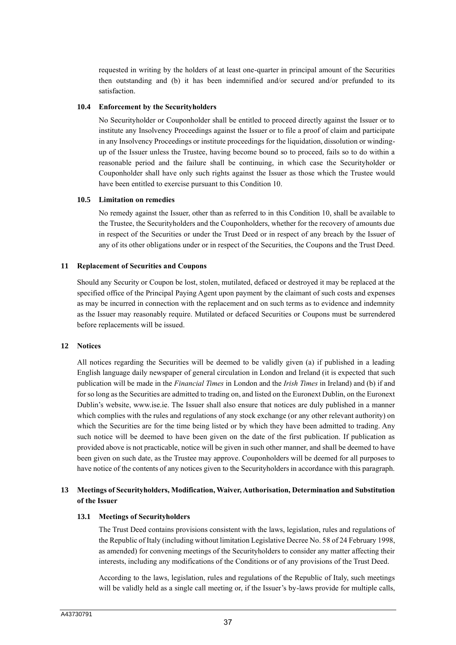requested in writing by the holders of at least one-quarter in principal amount of the Securities then outstanding and (b) it has been indemnified and/or secured and/or prefunded to its satisfaction.

## **10.4 Enforcement by the Securityholders**

No Securityholder or Couponholder shall be entitled to proceed directly against the Issuer or to institute any Insolvency Proceedings against the Issuer or to file a proof of claim and participate in any Insolvency Proceedings or institute proceedings for the liquidation, dissolution or windingup of the Issuer unless the Trustee, having become bound so to proceed, fails so to do within a reasonable period and the failure shall be continuing, in which case the Securityholder or Couponholder shall have only such rights against the Issuer as those which the Trustee would have been entitled to exercise pursuant to this Condition 10.

## **10.5 Limitation on remedies**

No remedy against the Issuer, other than as referred to in this Condition 10, shall be available to the Trustee, the Securityholders and the Couponholders, whether for the recovery of amounts due in respect of the Securities or under the Trust Deed or in respect of any breach by the Issuer of any of its other obligations under or in respect of the Securities, the Coupons and the Trust Deed.

## **11 Replacement of Securities and Coupons**

Should any Security or Coupon be lost, stolen, mutilated, defaced or destroyed it may be replaced at the specified office of the Principal Paying Agent upon payment by the claimant of such costs and expenses as may be incurred in connection with the replacement and on such terms as to evidence and indemnity as the Issuer may reasonably require. Mutilated or defaced Securities or Coupons must be surrendered before replacements will be issued.

#### **12 Notices**

All notices regarding the Securities will be deemed to be validly given (a) if published in a leading English language daily newspaper of general circulation in London and Ireland (it is expected that such publication will be made in the *Financial Times* in London and the *Irish Times* in Ireland) and (b) if and for so long as the Securities are admitted to trading on, and listed on the Euronext Dublin, on the Euronext Dublin's website, www.ise.ie. The Issuer shall also ensure that notices are duly published in a manner which complies with the rules and regulations of any stock exchange (or any other relevant authority) on which the Securities are for the time being listed or by which they have been admitted to trading. Any such notice will be deemed to have been given on the date of the first publication. If publication as provided above is not practicable, notice will be given in such other manner, and shall be deemed to have been given on such date, as the Trustee may approve. Couponholders will be deemed for all purposes to have notice of the contents of any notices given to the Securityholders in accordance with this paragraph.

## **13 Meetings of Securityholders, Modification, Waiver, Authorisation, Determination and Substitution of the Issuer**

#### **13.1 Meetings of Securityholders**

The Trust Deed contains provisions consistent with the laws, legislation, rules and regulations of the Republic of Italy (including without limitation Legislative Decree No. 58 of 24 February 1998, as amended) for convening meetings of the Securityholders to consider any matter affecting their interests, including any modifications of the Conditions or of any provisions of the Trust Deed.

According to the laws, legislation, rules and regulations of the Republic of Italy, such meetings will be validly held as a single call meeting or, if the Issuer's by-laws provide for multiple calls,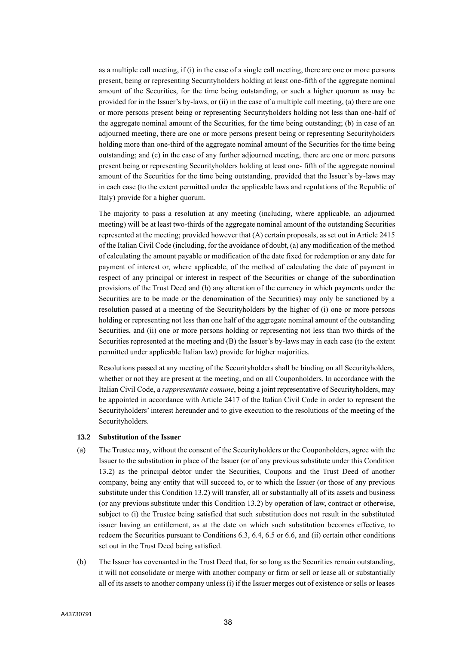as a multiple call meeting, if (i) in the case of a single call meeting, there are one or more persons present, being or representing Securityholders holding at least one-fifth of the aggregate nominal amount of the Securities, for the time being outstanding, or such a higher quorum as may be provided for in the Issuer's by-laws, or (ii) in the case of a multiple call meeting, (a) there are one or more persons present being or representing Securityholders holding not less than one-half of the aggregate nominal amount of the Securities, for the time being outstanding; (b) in case of an adjourned meeting, there are one or more persons present being or representing Securityholders holding more than one-third of the aggregate nominal amount of the Securities for the time being outstanding; and (c) in the case of any further adjourned meeting, there are one or more persons present being or representing Securityholders holding at least one- fifth of the aggregate nominal amount of the Securities for the time being outstanding, provided that the Issuer's by-laws may in each case (to the extent permitted under the applicable laws and regulations of the Republic of Italy) provide for a higher quorum.

The majority to pass a resolution at any meeting (including, where applicable, an adjourned meeting) will be at least two-thirds of the aggregate nominal amount of the outstanding Securities represented at the meeting; provided however that (A) certain proposals, as set out in Article 2415 of the Italian Civil Code (including, for the avoidance of doubt, (a) any modification of the method of calculating the amount payable or modification of the date fixed for redemption or any date for payment of interest or, where applicable, of the method of calculating the date of payment in respect of any principal or interest in respect of the Securities or change of the subordination provisions of the Trust Deed and (b) any alteration of the currency in which payments under the Securities are to be made or the denomination of the Securities) may only be sanctioned by a resolution passed at a meeting of the Securityholders by the higher of (i) one or more persons holding or representing not less than one half of the aggregate nominal amount of the outstanding Securities, and (ii) one or more persons holding or representing not less than two thirds of the Securities represented at the meeting and (B) the Issuer's by-laws may in each case (to the extent permitted under applicable Italian law) provide for higher majorities.

Resolutions passed at any meeting of the Securityholders shall be binding on all Securityholders, whether or not they are present at the meeting, and on all Couponholders. In accordance with the Italian Civil Code, a *rappresentante comune*, being a joint representative of Securityholders, may be appointed in accordance with Article 2417 of the Italian Civil Code in order to represent the Securityholders' interest hereunder and to give execution to the resolutions of the meeting of the Securityholders.

#### **13.2 Substitution of the Issuer**

- (a) The Trustee may, without the consent of the Securityholders or the Couponholders, agree with the Issuer to the substitution in place of the Issuer (or of any previous substitute under this Condition 13.2) as the principal debtor under the Securities, Coupons and the Trust Deed of another company, being any entity that will succeed to, or to which the Issuer (or those of any previous substitute under this Condition 13.2) will transfer, all or substantially all of its assets and business (or any previous substitute under this Condition 13.2) by operation of law, contract or otherwise, subject to (i) the Trustee being satisfied that such substitution does not result in the substituted issuer having an entitlement, as at the date on which such substitution becomes effective, to redeem the Securities pursuant to Conditions 6.3, 6.4, 6.5 or 6.6, and (ii) certain other conditions set out in the Trust Deed being satisfied.
- (b) The Issuer has covenanted in the Trust Deed that, for so long as the Securities remain outstanding, it will not consolidate or merge with another company or firm or sell or lease all or substantially all of its assets to another company unless (i) if the Issuer merges out of existence or sells or leases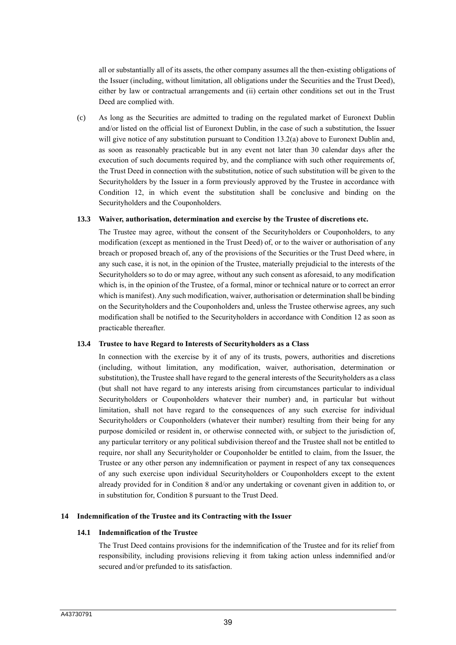all or substantially all of its assets, the other company assumes all the then-existing obligations of the Issuer (including, without limitation, all obligations under the Securities and the Trust Deed), either by law or contractual arrangements and (ii) certain other conditions set out in the Trust Deed are complied with.

(c) As long as the Securities are admitted to trading on the regulated market of Euronext Dublin and/or listed on the official list of Euronext Dublin, in the case of such a substitution, the Issuer will give notice of any substitution pursuant to Condition 13.2(a) above to Euronext Dublin and, as soon as reasonably practicable but in any event not later than 30 calendar days after the execution of such documents required by, and the compliance with such other requirements of, the Trust Deed in connection with the substitution, notice of such substitution will be given to the Securityholders by the Issuer in a form previously approved by the Trustee in accordance with Condition 12, in which event the substitution shall be conclusive and binding on the Securityholders and the Couponholders.

## **13.3 Waiver, authorisation, determination and exercise by the Trustee of discretions etc.**

The Trustee may agree, without the consent of the Securityholders or Couponholders, to any modification (except as mentioned in the Trust Deed) of, or to the waiver or authorisation of any breach or proposed breach of, any of the provisions of the Securities or the Trust Deed where, in any such case, it is not, in the opinion of the Trustee, materially prejudicial to the interests of the Securityholders so to do or may agree, without any such consent as aforesaid, to any modification which is, in the opinion of the Trustee, of a formal, minor or technical nature or to correct an error which is manifest). Any such modification, waiver, authorisation or determination shall be binding on the Securityholders and the Couponholders and, unless the Trustee otherwise agrees, any such modification shall be notified to the Securityholders in accordance with Condition 12 as soon as practicable thereafter.

#### **13.4 Trustee to have Regard to Interests of Securityholders as a Class**

In connection with the exercise by it of any of its trusts, powers, authorities and discretions (including, without limitation, any modification, waiver, authorisation, determination or substitution), the Trustee shall have regard to the general interests of the Securityholders as a class (but shall not have regard to any interests arising from circumstances particular to individual Securityholders or Couponholders whatever their number) and, in particular but without limitation, shall not have regard to the consequences of any such exercise for individual Securityholders or Couponholders (whatever their number) resulting from their being for any purpose domiciled or resident in, or otherwise connected with, or subject to the jurisdiction of, any particular territory or any political subdivision thereof and the Trustee shall not be entitled to require, nor shall any Securityholder or Couponholder be entitled to claim, from the Issuer, the Trustee or any other person any indemnification or payment in respect of any tax consequences of any such exercise upon individual Securityholders or Couponholders except to the extent already provided for in Condition 8 and/or any undertaking or covenant given in addition to, or in substitution for, Condition 8 pursuant to the Trust Deed.

### **14 Indemnification of the Trustee and its Contracting with the Issuer**

## **14.1 Indemnification of the Trustee**

The Trust Deed contains provisions for the indemnification of the Trustee and for its relief from responsibility, including provisions relieving it from taking action unless indemnified and/or secured and/or prefunded to its satisfaction.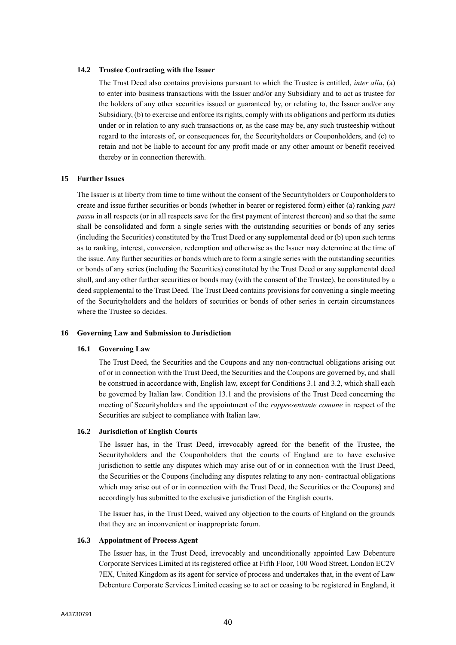#### **14.2 Trustee Contracting with the Issuer**

The Trust Deed also contains provisions pursuant to which the Trustee is entitled, *inter alia*, (a) to enter into business transactions with the Issuer and/or any Subsidiary and to act as trustee for the holders of any other securities issued or guaranteed by, or relating to, the Issuer and/or any Subsidiary, (b) to exercise and enforce its rights, comply with its obligations and perform its duties under or in relation to any such transactions or, as the case may be, any such trusteeship without regard to the interests of, or consequences for, the Securityholders or Couponholders, and (c) to retain and not be liable to account for any profit made or any other amount or benefit received thereby or in connection therewith.

#### **15 Further Issues**

The Issuer is at liberty from time to time without the consent of the Securityholders or Couponholders to create and issue further securities or bonds (whether in bearer or registered form) either (a) ranking *pari passu* in all respects (or in all respects save for the first payment of interest thereon) and so that the same shall be consolidated and form a single series with the outstanding securities or bonds of any series (including the Securities) constituted by the Trust Deed or any supplemental deed or (b) upon such terms as to ranking, interest, conversion, redemption and otherwise as the Issuer may determine at the time of the issue. Any further securities or bonds which are to form a single series with the outstanding securities or bonds of any series (including the Securities) constituted by the Trust Deed or any supplemental deed shall, and any other further securities or bonds may (with the consent of the Trustee), be constituted by a deed supplemental to the Trust Deed. The Trust Deed contains provisions for convening a single meeting of the Securityholders and the holders of securities or bonds of other series in certain circumstances where the Trustee so decides.

#### **16 Governing Law and Submission to Jurisdiction**

#### **16.1 Governing Law**

The Trust Deed, the Securities and the Coupons and any non-contractual obligations arising out of or in connection with the Trust Deed, the Securities and the Coupons are governed by, and shall be construed in accordance with, English law, except for Conditions 3.1 and 3.2, which shall each be governed by Italian law. Condition 13.1 and the provisions of the Trust Deed concerning the meeting of Securityholders and the appointment of the *rappresentante comune* in respect of the Securities are subject to compliance with Italian law.

#### **16.2 Jurisdiction of English Courts**

The Issuer has, in the Trust Deed, irrevocably agreed for the benefit of the Trustee, the Securityholders and the Couponholders that the courts of England are to have exclusive jurisdiction to settle any disputes which may arise out of or in connection with the Trust Deed, the Securities or the Coupons (including any disputes relating to any non- contractual obligations which may arise out of or in connection with the Trust Deed, the Securities or the Coupons) and accordingly has submitted to the exclusive jurisdiction of the English courts.

The Issuer has, in the Trust Deed, waived any objection to the courts of England on the grounds that they are an inconvenient or inappropriate forum.

#### **16.3 Appointment of Process Agent**

The Issuer has, in the Trust Deed, irrevocably and unconditionally appointed Law Debenture Corporate Services Limited at its registered office at Fifth Floor, 100 Wood Street, London EC2V 7EX, United Kingdom as its agent for service of process and undertakes that, in the event of Law Debenture Corporate Services Limited ceasing so to act or ceasing to be registered in England, it